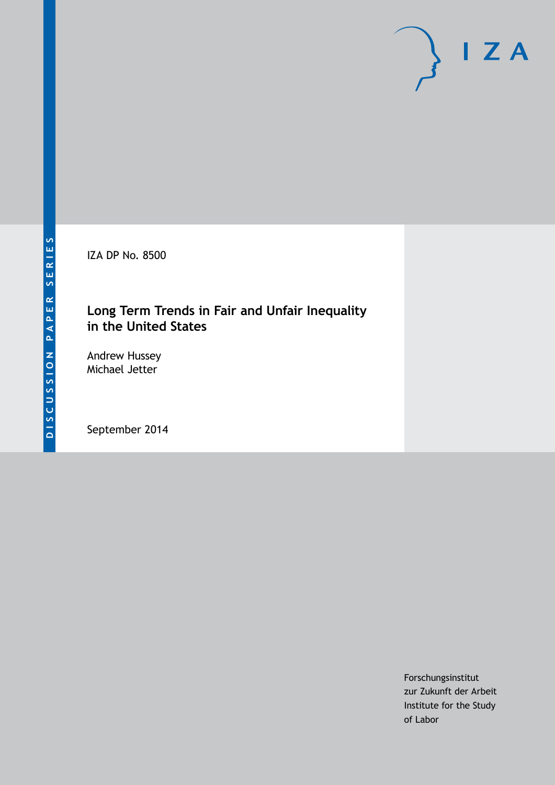IZA DP No. 8500

## **Long Term Trends in Fair and Unfair Inequality in the United States**

Andrew Hussey Michael Jetter

September 2014

Forschungsinstitut zur Zukunft der Arbeit Institute for the Study of Labor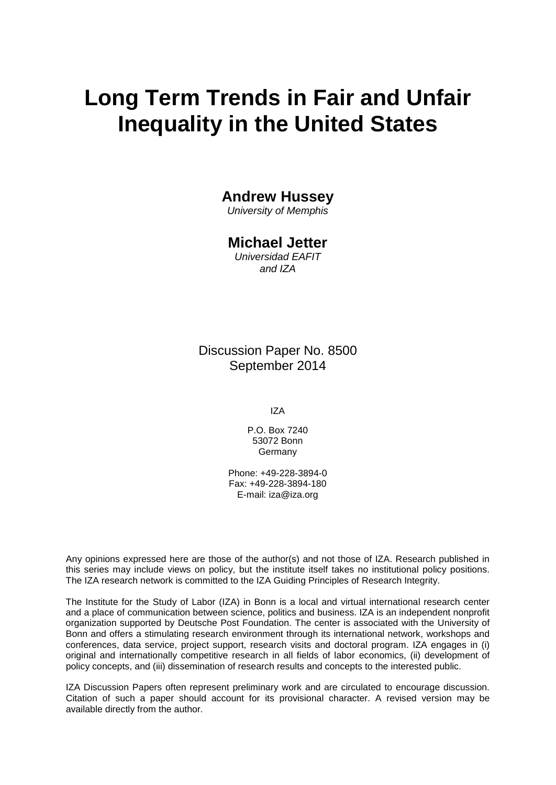# **Long Term Trends in Fair and Unfair Inequality in the United States**

## **Andrew Hussey**

*University of Memphis*

### **Michael Jetter**

*Universidad EAFIT and IZA*

Discussion Paper No. 8500 September 2014

IZA

P.O. Box 7240 53072 Bonn Germany

Phone: +49-228-3894-0 Fax: +49-228-3894-180 E-mail: [iza@iza.org](mailto:iza@iza.org)

Any opinions expressed here are those of the author(s) and not those of IZA. Research published in this series may include views on policy, but the institute itself takes no institutional policy positions. The IZA research network is committed to the IZA Guiding Principles of Research Integrity.

The Institute for the Study of Labor (IZA) in Bonn is a local and virtual international research center and a place of communication between science, politics and business. IZA is an independent nonprofit organization supported by Deutsche Post Foundation. The center is associated with the University of Bonn and offers a stimulating research environment through its international network, workshops and conferences, data service, project support, research visits and doctoral program. IZA engages in (i) original and internationally competitive research in all fields of labor economics, (ii) development of policy concepts, and (iii) dissemination of research results and concepts to the interested public.

<span id="page-1-0"></span>IZA Discussion Papers often represent preliminary work and are circulated to encourage discussion. Citation of such a paper should account for its provisional character. A revised version may be available directly from the author.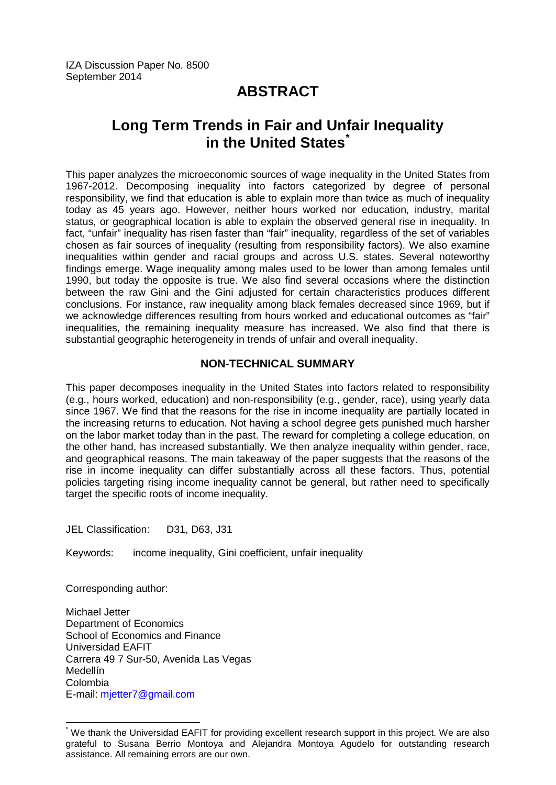## **ABSTRACT**

# **Long Term Trends in Fair and Unfair Inequality in the United States[\\*](#page-1-0)**

This paper analyzes the microeconomic sources of wage inequality in the United States from 1967-2012. Decomposing inequality into factors categorized by degree of personal responsibility, we find that education is able to explain more than twice as much of inequality today as 45 years ago. However, neither hours worked nor education, industry, marital status, or geographical location is able to explain the observed general rise in inequality. In fact, "unfair" inequality has risen faster than "fair" inequality, regardless of the set of variables chosen as fair sources of inequality (resulting from responsibility factors). We also examine inequalities within gender and racial groups and across U.S. states. Several noteworthy findings emerge. Wage inequality among males used to be lower than among females until 1990, but today the opposite is true. We also find several occasions where the distinction between the raw Gini and the Gini adjusted for certain characteristics produces different conclusions. For instance, raw inequality among black females decreased since 1969, but if we acknowledge differences resulting from hours worked and educational outcomes as "fair" inequalities, the remaining inequality measure has increased. We also find that there is substantial geographic heterogeneity in trends of unfair and overall inequality.

#### **NON-TECHNICAL SUMMARY**

This paper decomposes inequality in the United States into factors related to responsibility (e.g., hours worked, education) and non-responsibility (e.g., gender, race), using yearly data since 1967. We find that the reasons for the rise in income inequality are partially located in the increasing returns to education. Not having a school degree gets punished much harsher on the labor market today than in the past. The reward for completing a college education, on the other hand, has increased substantially. We then analyze inequality within gender, race, and geographical reasons. The main takeaway of the paper suggests that the reasons of the rise in income inequality can differ substantially across all these factors. Thus, potential policies targeting rising income inequality cannot be general, but rather need to specifically target the specific roots of income inequality.

JEL Classification: D31, D63, J31

Keywords: income inequality, Gini coefficient, unfair inequality

Corresponding author:

Michael Jetter Department of Economics School of Economics and Finance Universidad EAFIT Carrera 49 7 Sur-50, Avenida Las Vegas Medellín Colombia E-mail: [mjetter7@gmail.com](mailto:mjetter7@gmail.com)

\* We thank the Universidad EAFIT for providing excellent research support in this project. We are also grateful to Susana Berrio Montoya and Alejandra Montoya Agudelo for outstanding research assistance. All remaining errors are our own.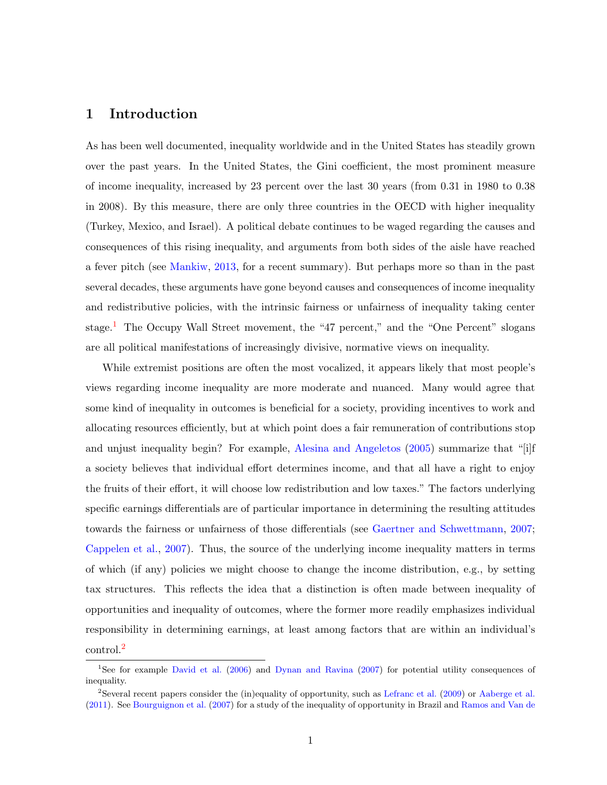#### 1 Introduction

As has been well documented, inequality worldwide and in the United States has steadily grown over the past years. In the United States, the Gini coefficient, the most prominent measure of income inequality, increased by 23 percent over the last 30 years (from 0.31 in 1980 to 0.38 in 2008). By this measure, there are only three countries in the OECD with higher inequality (Turkey, Mexico, and Israel). A political debate continues to be waged regarding the causes and consequences of this rising inequality, and arguments from both sides of the aisle have reached a fever pitch (see [Mankiw,](#page-34-0) [2013,](#page-34-0) for a recent summary). But perhaps more so than in the past several decades, these arguments have gone beyond causes and consequences of income inequality and redistributive policies, with the intrinsic fairness or unfairness of inequality taking center stage.<sup>[1](#page-3-0)</sup> The Occupy Wall Street movement, the "47 percent," and the "One Percent" slogans are all political manifestations of increasingly divisive, normative views on inequality.

While extremist positions are often the most vocalized, it appears likely that most people's views regarding income inequality are more moderate and nuanced. Many would agree that some kind of inequality in outcomes is beneficial for a society, providing incentives to work and allocating resources efficiently, but at which point does a fair remuneration of contributions stop and unjust inequality begin? For example, [Alesina and Angeletos](#page-32-0) [\(2005\)](#page-32-0) summarize that "[i]f a society believes that individual effort determines income, and that all have a right to enjoy the fruits of their effort, it will choose low redistribution and low taxes." The factors underlying specific earnings differentials are of particular importance in determining the resulting attitudes towards the fairness or unfairness of those differentials (see [Gaertner and Schwettmann,](#page-34-1) [2007;](#page-34-1) [Cappelen et al.,](#page-33-0) [2007\)](#page-33-0). Thus, the source of the underlying income inequality matters in terms of which (if any) policies we might choose to change the income distribution, e.g., by setting tax structures. This reflects the idea that a distinction is often made between inequality of opportunities and inequality of outcomes, where the former more readily emphasizes individual responsibility in determining earnings, at least among factors that are within an individual's control.[2](#page-3-1)

<span id="page-3-0"></span><sup>1</sup>See for example [David et al.](#page-33-1) [\(2006\)](#page-33-1) and [Dynan and Ravina](#page-33-2) [\(2007\)](#page-33-2) for potential utility consequences of inequality.

<span id="page-3-1"></span><sup>2</sup>Several recent papers consider the (in)equality of opportunity, such as [Lefranc et al.](#page-34-2) [\(2009\)](#page-34-2) or [Aaberge et al.](#page-32-1) [\(2011\)](#page-32-1). See [Bourguignon et al.](#page-33-3) [\(2007\)](#page-33-3) for a study of the inequality of opportunity in Brazil and [Ramos and Van de](#page-35-0)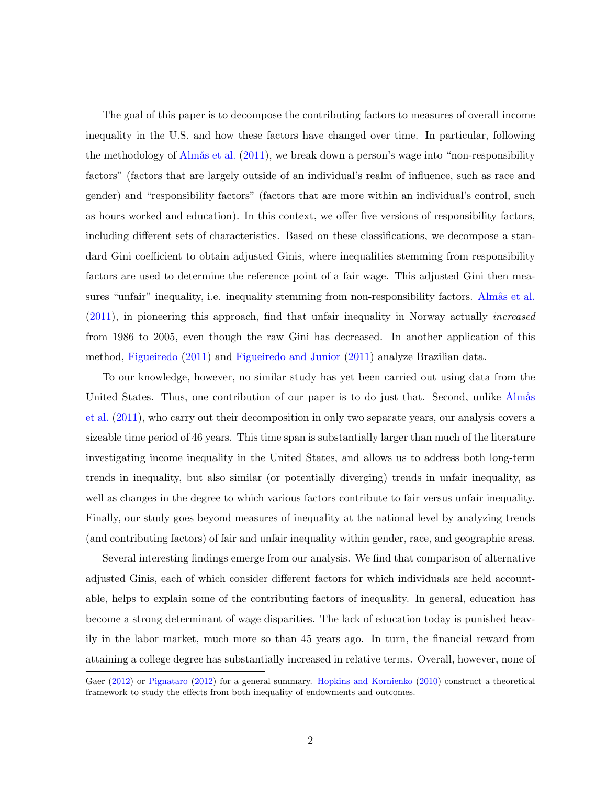[The goal of this paper is to decompose the contributing factors to measures of overall income](#page-35-0) [inequality in the U.S. and how these factors have changed over time. In particular, following](#page-35-0) the methodology of Almås et al.  $(2011)$ , we break down a person's wage into "non-responsibility" [factors" \(factors that are largely outside of an individual's realm of influence, such as race and](#page-35-0) [gender\) and "responsibility factors" \(factors that are more within an individual's control, such](#page-35-0) [as hours worked and education\). In this context, we offer five versions of responsibility factors,](#page-35-0) [including different sets of characteristics. Based on these classifications, we decompose a stan](#page-35-0)[dard Gini coefficient to obtain adjusted Ginis, where inequalities stemming from responsibility](#page-35-0) [factors are used to determine the reference point of a fair wage. This adjusted Gini then mea](#page-35-0)[sures "unfair" inequality, i.e. inequality stemming from non-responsibility factors.](#page-35-0) Alma<sup>s</sup> et al. [\(2011\), in pioneering this approach, find that unfair inequality in Norway actually](#page-35-0) increased [from 1986 to 2005, even though the raw Gini has decreased. In another application of this](#page-35-0) method, [Figueiredo](#page-34-3) [\(2011\)](#page-34-3) and [Figueiredo and Junior](#page-34-4) [\(2011\) analyze Brazilian data.](#page-35-0)

[To our knowledge, however, no similar study has yet been carried out using data from the](#page-35-0) [United States. Thus, one contribution of our paper is to do just that. Second, unlike](#page-35-0) Almås [et al.](#page-33-4) [\(2011\), who carry out their decomposition in only two separate years, our analysis covers a](#page-35-0) [sizeable time period of 46 years. This time span is substantially larger than much of the literature](#page-35-0) [investigating income inequality in the United States, and allows us to address both long-term](#page-35-0) [trends in inequality, but also similar \(or potentially diverging\) trends in unfair inequality, as](#page-35-0) [well as changes in the degree to which various factors contribute to fair versus unfair inequality.](#page-35-0) [Finally, our study goes beyond measures of inequality at the national level by analyzing trends](#page-35-0) [\(and contributing factors\) of fair and unfair inequality within gender, race, and geographic areas.](#page-35-0)

[Several interesting findings emerge from our analysis. We find that comparison of alternative](#page-35-0) [adjusted Ginis, each of which consider different factors for which individuals are held account](#page-35-0)[able, helps to explain some of the contributing factors of inequality. In general, education has](#page-35-0) [become a strong determinant of wage disparities. The lack of education today is punished heav](#page-35-0)[ily in the labor market, much more so than 45 years ago. In turn, the financial reward from](#page-35-0) [attaining a college degree has substantially increased in relative terms. Overall, however, none of](#page-35-0)

[Gaer](#page-35-0) [\(2012\)](#page-35-0) or [Pignataro](#page-35-1) [\(2012\)](#page-35-1) for a general summary. [Hopkins and Kornienko](#page-34-5) [\(2010\)](#page-34-5) construct a theoretical framework to study the effects from both inequality of endowments and outcomes.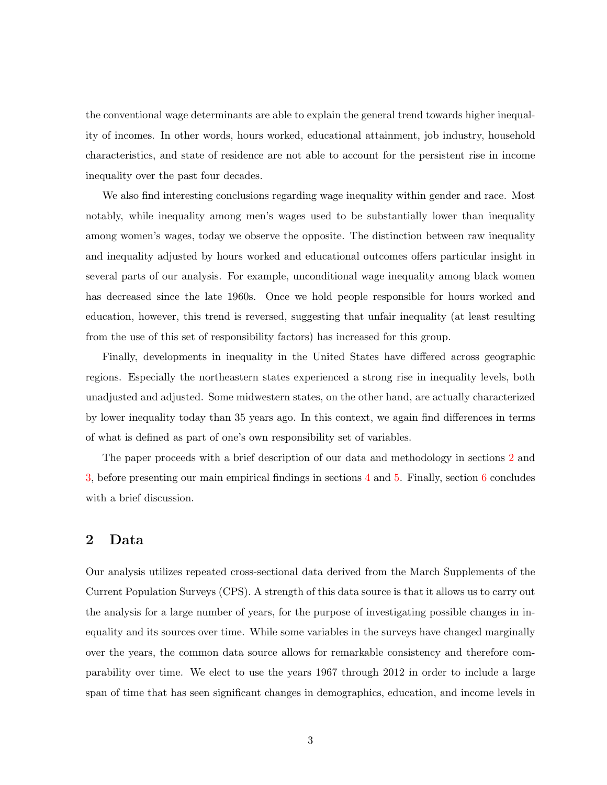the conventional wage determinants are able to explain the general trend towards higher inequality of incomes. In other words, hours worked, educational attainment, job industry, household characteristics, and state of residence are not able to account for the persistent rise in income inequality over the past four decades.

We also find interesting conclusions regarding wage inequality within gender and race. Most notably, while inequality among men's wages used to be substantially lower than inequality among women's wages, today we observe the opposite. The distinction between raw inequality and inequality adjusted by hours worked and educational outcomes offers particular insight in several parts of our analysis. For example, unconditional wage inequality among black women has decreased since the late 1960s. Once we hold people responsible for hours worked and education, however, this trend is reversed, suggesting that unfair inequality (at least resulting from the use of this set of responsibility factors) has increased for this group.

Finally, developments in inequality in the United States have differed across geographic regions. Especially the northeastern states experienced a strong rise in inequality levels, both unadjusted and adjusted. Some midwestern states, on the other hand, are actually characterized by lower inequality today than 35 years ago. In this context, we again find differences in terms of what is defined as part of one's own responsibility set of variables.

The paper proceeds with a brief description of our data and methodology in sections [2](#page-5-0) and [3,](#page-9-0) before presenting our main empirical findings in sections [4](#page-12-0) and [5.](#page-15-0) Finally, section [6](#page-29-0) concludes with a brief discussion.

#### <span id="page-5-0"></span>2 Data

Our analysis utilizes repeated cross-sectional data derived from the March Supplements of the Current Population Surveys (CPS). A strength of this data source is that it allows us to carry out the analysis for a large number of years, for the purpose of investigating possible changes in inequality and its sources over time. While some variables in the surveys have changed marginally over the years, the common data source allows for remarkable consistency and therefore comparability over time. We elect to use the years 1967 through 2012 in order to include a large span of time that has seen significant changes in demographics, education, and income levels in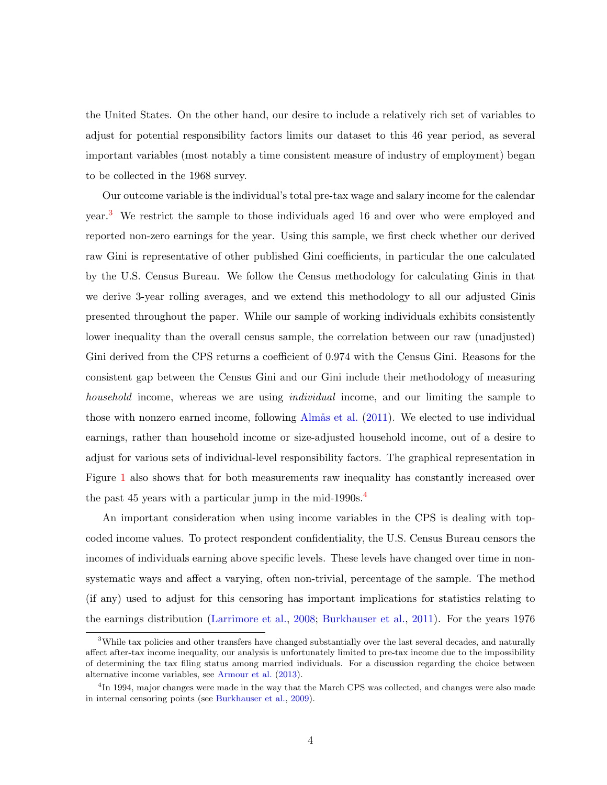the United States. On the other hand, our desire to include a relatively rich set of variables to adjust for potential responsibility factors limits our dataset to this 46 year period, as several important variables (most notably a time consistent measure of industry of employment) began to be collected in the 1968 survey.

Our outcome variable is the individual's total pre-tax wage and salary income for the calendar year.[3](#page-6-0) We restrict the sample to those individuals aged 16 and over who were employed and reported non-zero earnings for the year. Using this sample, we first check whether our derived raw Gini is representative of other published Gini coefficients, in particular the one calculated by the U.S. Census Bureau. We follow the Census methodology for calculating Ginis in that we derive 3-year rolling averages, and we extend this methodology to all our adjusted Ginis presented throughout the paper. While our sample of working individuals exhibits consistently lower inequality than the overall census sample, the correlation between our raw (unadjusted) Gini derived from the CPS returns a coefficient of 0.974 with the Census Gini. Reasons for the consistent gap between the Census Gini and our Gini include their methodology of measuring household income, whereas we are using individual income, and our limiting the sample to those with nonzero earned income, following Almås et al.  $(2011)$ . We elected to use individual earnings, rather than household income or size-adjusted household income, out of a desire to adjust for various sets of individual-level responsibility factors. The graphical representation in Figure [1](#page-7-0) also shows that for both measurements raw inequality has constantly increased over the past [4](#page-6-1)5 years with a particular jump in the mid-1990s.<sup>4</sup>

An important consideration when using income variables in the CPS is dealing with topcoded income values. To protect respondent confidentiality, the U.S. Census Bureau censors the incomes of individuals earning above specific levels. These levels have changed over time in nonsystematic ways and affect a varying, often non-trivial, percentage of the sample. The method (if any) used to adjust for this censoring has important implications for statistics relating to the earnings distribution [\(Larrimore et al.,](#page-34-6) [2008;](#page-34-6) [Burkhauser et al.,](#page-33-5) [2011\)](#page-33-5). For the years 1976

<span id="page-6-0"></span><sup>&</sup>lt;sup>3</sup>While tax policies and other transfers have changed substantially over the last several decades, and naturally affect after-tax income inequality, our analysis is unfortunately limited to pre-tax income due to the impossibility of determining the tax filing status among married individuals. For a discussion regarding the choice between alternative income variables, see [Armour et al.](#page-33-6) [\(2013\)](#page-33-6).

<span id="page-6-1"></span><sup>&</sup>lt;sup>4</sup>In 1994, major changes were made in the way that the March CPS was collected, and changes were also made in internal censoring points (see [Burkhauser et al.,](#page-33-7) [2009\)](#page-33-7).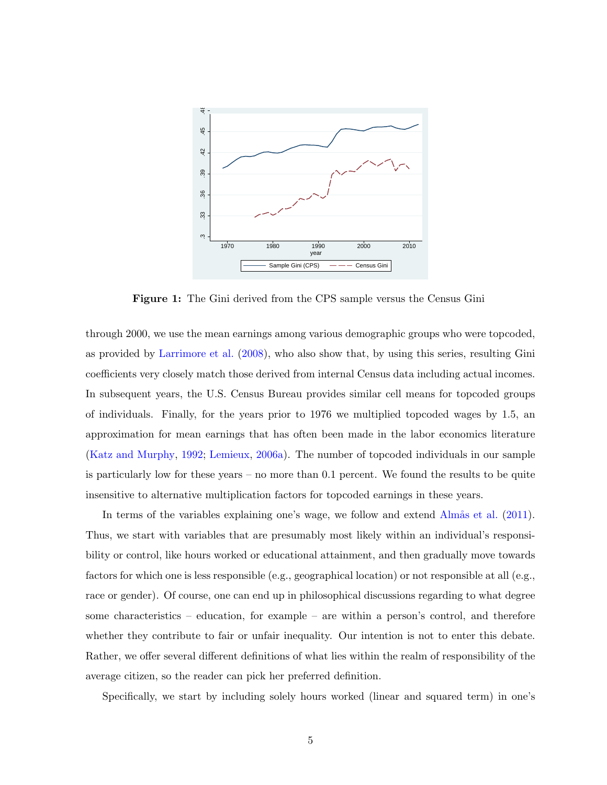<span id="page-7-0"></span>

Figure 1: The Gini derived from the CPS sample versus the Census Gini

through 2000, we use the mean earnings among various demographic groups who were topcoded, as provided by [Larrimore et al.](#page-34-6) [\(2008\)](#page-34-6), who also show that, by using this series, resulting Gini coefficients very closely match those derived from internal Census data including actual incomes. In subsequent years, the U.S. Census Bureau provides similar cell means for topcoded groups of individuals. Finally, for the years prior to 1976 we multiplied topcoded wages by 1.5, an approximation for mean earnings that has often been made in the labor economics literature [\(Katz and Murphy,](#page-34-7) [1992;](#page-34-7) [Lemieux,](#page-34-8) [2006a\)](#page-34-8). The number of topcoded individuals in our sample is particularly low for these years – no more than 0.1 percent. We found the results to be quite insensitive to alternative multiplication factors for topcoded earnings in these years.

In terms of the variables explaining one's wage, we follow and extend  $\widehat{\text{Alm}a}$  et al. [\(2011\)](#page-33-4). Thus, we start with variables that are presumably most likely within an individual's responsibility or control, like hours worked or educational attainment, and then gradually move towards factors for which one is less responsible (e.g., geographical location) or not responsible at all (e.g., race or gender). Of course, one can end up in philosophical discussions regarding to what degree some characteristics – education, for example – are within a person's control, and therefore whether they contribute to fair or unfair inequality. Our intention is not to enter this debate. Rather, we offer several different definitions of what lies within the realm of responsibility of the average citizen, so the reader can pick her preferred definition.

Specifically, we start by including solely hours worked (linear and squared term) in one's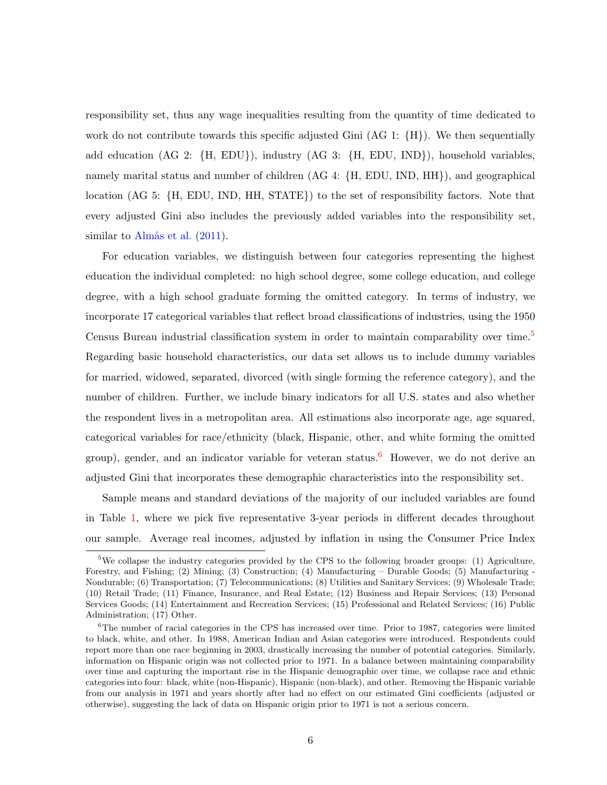responsibility set, thus any wage inequalities resulting from the quantity of time dedicated to work do not contribute towards this specific adjusted Gini  $(AG 1: {H})$ . We then sequentially add education (AG 2: {H, EDU}), industry (AG 3: {H, EDU, IND}), household variables, namely marital status and number of children (AG 4: {H, EDU, IND, HH}), and geographical location (AG 5: {H, EDU, IND, HH, STATE}) to the set of responsibility factors. Note that every adjusted Gini also includes the previously added variables into the responsibility set, similar to Almås et al.  $(2011)$ .

For education variables, we distinguish between four categories representing the highest education the individual completed: no high school degree, some college education, and college degree, with a high school graduate forming the omitted category. In terms of industry, we incorporate 17 categorical variables that reflect broad classifications of industries, using the 1950 Census Bureau industrial classification system in order to maintain comparability over time.<sup>[5](#page-8-0)</sup> Regarding basic household characteristics, our data set allows us to include dummy variables for married, widowed, separated, divorced (with single forming the reference category), and the number of children. Further, we include binary indicators for all U.S. states and also whether the respondent lives in a metropolitan area. All estimations also incorporate age, age squared, categorical variables for race/ethnicity (black, Hispanic, other, and white forming the omitted group), gender, and an indicator variable for veteran status.<sup>[6](#page-8-1)</sup> However, we do not derive an adjusted Gini that incorporates these demographic characteristics into the responsibility set.

Sample means and standard deviations of the majority of our included variables are found in Table [1,](#page-10-0) where we pick five representative 3-year periods in different decades throughout our sample. Average real incomes, adjusted by inflation in using the Consumer Price Index

<span id="page-8-0"></span><sup>&</sup>lt;sup>5</sup>We collapse the industry categories provided by the CPS to the following broader groups: (1) Agriculture, Forestry, and Fishing; (2) Mining; (3) Construction; (4) Manufacturing – Durable Goods; (5) Manufacturing - Nondurable; (6) Transportation; (7) Telecommunications; (8) Utilities and Sanitary Services; (9) Wholesale Trade; (10) Retail Trade; (11) Finance, Insurance, and Real Estate; (12) Business and Repair Services; (13) Personal Services Goods; (14) Entertainment and Recreation Services; (15) Professional and Related Services; (16) Public Administration; (17) Other.

<span id="page-8-1"></span> $6$ The number of racial categories in the CPS has increased over time. Prior to 1987, categories were limited to black, white, and other. In 1988, American Indian and Asian categories were introduced. Respondents could report more than one race beginning in 2003, drastically increasing the number of potential categories. Similarly, information on Hispanic origin was not collected prior to 1971. In a balance between maintaining comparability over time and capturing the important rise in the Hispanic demographic over time, we collapse race and ethnic categories into four: black, white (non-Hispanic), Hispanic (non-black), and other. Removing the Hispanic variable from our analysis in 1971 and years shortly after had no effect on our estimated Gini coefficients (adjusted or otherwise), suggesting the lack of data on Hispanic origin prior to 1971 is not a serious concern.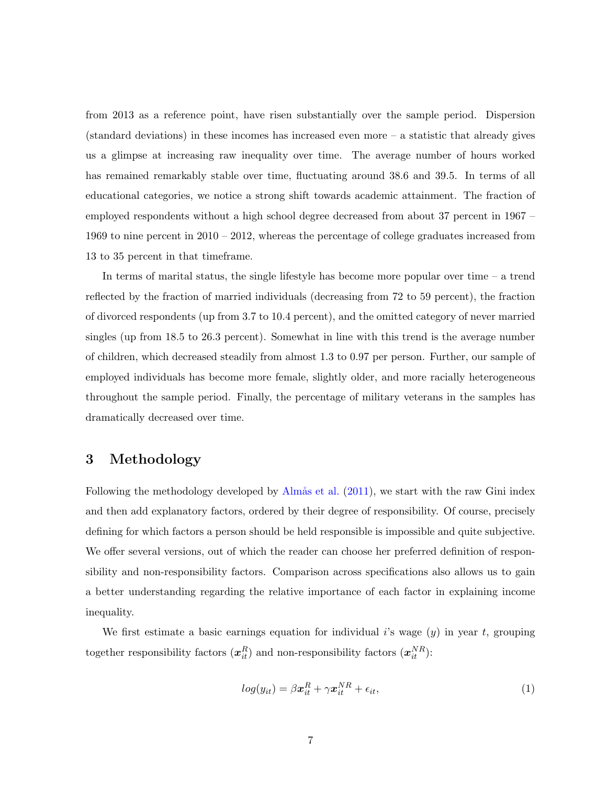from 2013 as a reference point, have risen substantially over the sample period. Dispersion (standard deviations) in these incomes has increased even more – a statistic that already gives us a glimpse at increasing raw inequality over time. The average number of hours worked has remained remarkably stable over time, fluctuating around 38.6 and 39.5. In terms of all educational categories, we notice a strong shift towards academic attainment. The fraction of employed respondents without a high school degree decreased from about 37 percent in 1967 – 1969 to nine percent in 2010 – 2012, whereas the percentage of college graduates increased from 13 to 35 percent in that timeframe.

In terms of marital status, the single lifestyle has become more popular over time – a trend reflected by the fraction of married individuals (decreasing from 72 to 59 percent), the fraction of divorced respondents (up from 3.7 to 10.4 percent), and the omitted category of never married singles (up from 18.5 to 26.3 percent). Somewhat in line with this trend is the average number of children, which decreased steadily from almost 1.3 to 0.97 per person. Further, our sample of employed individuals has become more female, slightly older, and more racially heterogeneous throughout the sample period. Finally, the percentage of military veterans in the samples has dramatically decreased over time.

#### <span id="page-9-0"></span>3 Methodology

Following the methodology developed by Almås et al. [\(2011\)](#page-33-4), we start with the raw Gini index and then add explanatory factors, ordered by their degree of responsibility. Of course, precisely defining for which factors a person should be held responsible is impossible and quite subjective. We offer several versions, out of which the reader can choose her preferred definition of responsibility and non-responsibility factors. Comparison across specifications also allows us to gain a better understanding regarding the relative importance of each factor in explaining income inequality.

We first estimate a basic earnings equation for individual i's wage  $(y)$  in year t, grouping together responsibility factors  $(x_{it}^R)$  and non-responsibility factors  $(x_{it}^{NR})$ :

$$
log(y_{it}) = \beta \boldsymbol{x}_{it}^R + \gamma \boldsymbol{x}_{it}^{NR} + \epsilon_{it}, \qquad (1)
$$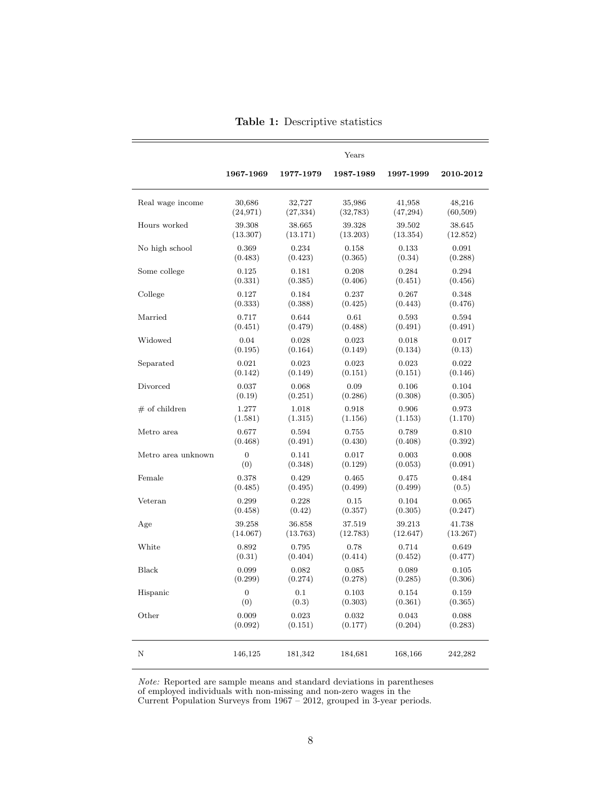<span id="page-10-0"></span>

|                    | Years     |           |           |           |           |  |
|--------------------|-----------|-----------|-----------|-----------|-----------|--|
|                    | 1967-1969 | 1977-1979 | 1987-1989 | 1997-1999 | 2010-2012 |  |
| Real wage income   | 30,686    | 32,727    | 35,986    | 41,958    | 48,216    |  |
|                    | (24, 971) | (27, 334) | (32, 783) | (47, 294) | (60, 509) |  |
| Hours worked       | 39.308    | 38.665    | 39.328    | 39.502    | 38.645    |  |
|                    | (13.307)  | (13.171)  | (13.203)  | (13.354)  | (12.852)  |  |
| No high school     | 0.369     | 0.234     | 0.158     | 0.133     | 0.091     |  |
|                    | (0.483)   | (0.423)   | (0.365)   | (0.34)    | (0.288)   |  |
| Some college       | 0.125     | 0.181     | 0.208     | 0.284     | 0.294     |  |
|                    | (0.331)   | (0.385)   | (0.406)   | (0.451)   | (0.456)   |  |
| College            | 0.127     | 0.184     | 0.237     | 0.267     | 0.348     |  |
|                    | (0.333)   | (0.388)   | (0.425)   | (0.443)   | (0.476)   |  |
| Married            | 0.717     | 0.644     | 0.61      | 0.593     | 0.594     |  |
|                    | (0.451)   | (0.479)   | (0.488)   | (0.491)   | (0.491)   |  |
| Widowed            | 0.04      | 0.028     | 0.023     | 0.018     | 0.017     |  |
|                    | (0.195)   | (0.164)   | (0.149)   | (0.134)   | (0.13)    |  |
| Separated          | 0.021     | 0.023     | 0.023     | 0.023     | 0.022     |  |
|                    | (0.142)   | (0.149)   | (0.151)   | (0.151)   | (0.146)   |  |
| Divorced           | 0.037     | 0.068     | 0.09      | 0.106     | 0.104     |  |
|                    | (0.19)    | (0.251)   | (0.286)   | (0.308)   | (0.305)   |  |
| $\#$ of children   | 1.277     | 1.018     | 0.918     | 0.906     | 0.973     |  |
|                    | (1.581)   | (1.315)   | (1.156)   | (1.153)   | (1.170)   |  |
| Metro area         | 0.677     | 0.594     | 0.755     | 0.789     | 0.810     |  |
|                    | (0.468)   | (0.491)   | (0.430)   | (0.408)   | (0.392)   |  |
| Metro area unknown | 0         | 0.141     | 0.017     | 0.003     | 0.008     |  |
|                    | (0)       | (0.348)   | (0.129)   | (0.053)   | (0.091)   |  |
| Female             | 0.378     | 0.429     | 0.465     | 0.475     | 0.484     |  |
|                    | (0.485)   | (0.495)   | (0.499)   | (0.499)   | (0.5)     |  |
| Veteran            | 0.299     | 0.228     | 0.15      | 0.104     | 0.065     |  |
|                    | (0.458)   | (0.42)    | (0.357)   | (0.305)   | (0.247)   |  |
| Age                | 39.258    | 36.858    | 37.519    | 39.213    | 41.738    |  |
|                    | (14.067)  | (13.763)  | (12.783)  | (12.647)  | (13.267)  |  |
| White              | 0.892     | 0.795     | 0.78      | 0.714     | 0.649     |  |
|                    | (0.31)    | (0.404)   | (0.414)   | (0.452)   | (0.477)   |  |
| Black              | 0.099     | 0.082     | 0.085     | 0.089     | 0.105     |  |
|                    | (0.299)   | (0.274)   | (0.278)   | (0.285)   | (0.306)   |  |
| Hispanic           | 0         | 0.1       | 0.103     | 0.154     | 0.159     |  |
|                    | (0)       | (0.3)     | (0.303)   | (0.361)   | (0.365)   |  |
| Other              | 0.009     | 0.023     | 0.032     | 0.043     | 0.088     |  |
|                    | (0.092)   | (0.151)   | (0.177)   | (0.204)   | (0.283)   |  |
| Ν                  | 146,125   | 181,342   | 184,681   | 168,166   | 242,282   |  |

Note: Reported are sample means and standard deviations in parentheses of employed individuals with non-missing and non-zero wages in the Current Population Surveys from 1967 – 2012, grouped in 3-year periods.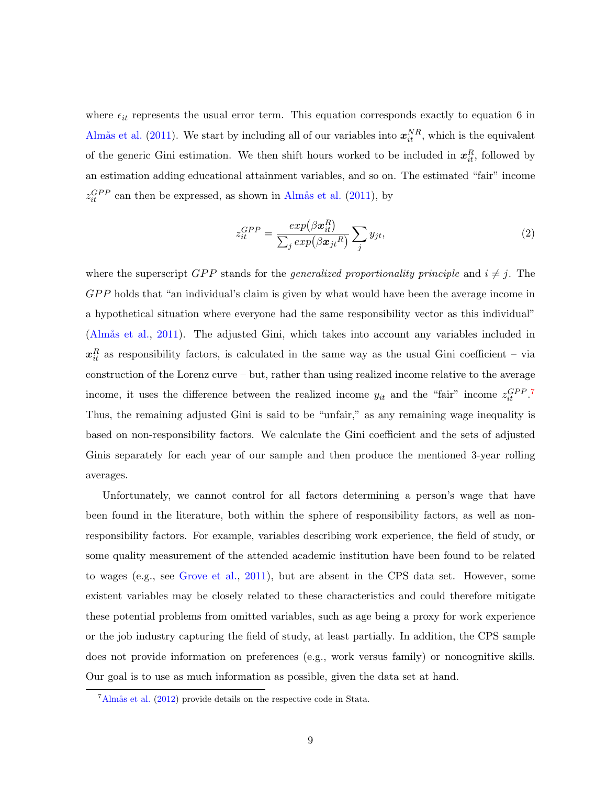where  $\epsilon_{it}$  represents the usual error term. This equation corresponds exactly to equation 6 in Almås et al. [\(2011\)](#page-33-4). We start by including all of our variables into  $x_{it}^{NR}$ , which is the equivalent of the generic Gini estimation. We then shift hours worked to be included in  $x_{it}^R$ , followed by an estimation adding educational attainment variables, and so on. The estimated "fair" income  $z_{it}^{GPP}$  can then be expressed, as shown in Almås et al. [\(2011\)](#page-33-4), by

$$
z_{it}^{GPP} = \frac{exp(\beta \boldsymbol{x}_{it}^{R})}{\sum_{j} exp(\beta \boldsymbol{x}_{jt}^{R})} \sum_{j} y_{jt},
$$
\n(2)

where the superscript GPP stands for the *generalized proportionality principle* and  $i \neq j$ . The GPP holds that "an individual's claim is given by what would have been the average income in a hypothetical situation where everyone had the same responsibility vector as this individual" (Almås et al., [2011\)](#page-33-4). The adjusted Gini, which takes into account any variables included in  $x_{it}^R$  as responsibility factors, is calculated in the same way as the usual Gini coefficient – via construction of the Lorenz curve – but, rather than using realized income relative to the average income, it uses the difference between the realized income  $y_{it}$  and the "fair" income  $z_{it}^{GPP}$ . Thus, the remaining adjusted Gini is said to be "unfair," as any remaining wage inequality is based on non-responsibility factors. We calculate the Gini coefficient and the sets of adjusted Ginis separately for each year of our sample and then produce the mentioned 3-year rolling averages.

Unfortunately, we cannot control for all factors determining a person's wage that have been found in the literature, both within the sphere of responsibility factors, as well as nonresponsibility factors. For example, variables describing work experience, the field of study, or some quality measurement of the attended academic institution have been found to be related to wages (e.g., see [Grove et al.,](#page-34-9) [2011\)](#page-34-9), but are absent in the CPS data set. However, some existent variables may be closely related to these characteristics and could therefore mitigate these potential problems from omitted variables, such as age being a proxy for work experience or the job industry capturing the field of study, at least partially. In addition, the CPS sample does not provide information on preferences (e.g., work versus family) or noncognitive skills. Our goal is to use as much information as possible, given the data set at hand.

<span id="page-11-0"></span> ${}^{7}\text{Alm\aa}$  et al. [\(2012\)](#page-33-8) provide details on the respective code in Stata.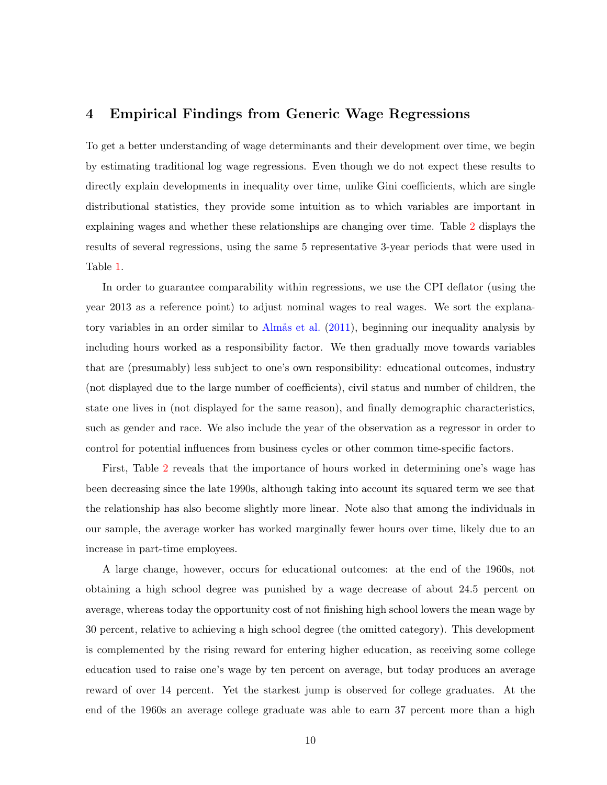#### <span id="page-12-0"></span>4 Empirical Findings from Generic Wage Regressions

To get a better understanding of wage determinants and their development over time, we begin by estimating traditional log wage regressions. Even though we do not expect these results to directly explain developments in inequality over time, unlike Gini coefficients, which are single distributional statistics, they provide some intuition as to which variables are important in explaining wages and whether these relationships are changing over time. Table [2](#page-13-0) displays the results of several regressions, using the same 5 representative 3-year periods that were used in Table [1.](#page-10-0)

In order to guarantee comparability within regressions, we use the CPI deflator (using the year 2013 as a reference point) to adjust nominal wages to real wages. We sort the explana-tory variables in an order similar to Almås et al. [\(2011\)](#page-33-4), beginning our inequality analysis by including hours worked as a responsibility factor. We then gradually move towards variables that are (presumably) less subject to one's own responsibility: educational outcomes, industry (not displayed due to the large number of coefficients), civil status and number of children, the state one lives in (not displayed for the same reason), and finally demographic characteristics, such as gender and race. We also include the year of the observation as a regressor in order to control for potential influences from business cycles or other common time-specific factors.

First, Table [2](#page-13-0) reveals that the importance of hours worked in determining one's wage has been decreasing since the late 1990s, although taking into account its squared term we see that the relationship has also become slightly more linear. Note also that among the individuals in our sample, the average worker has worked marginally fewer hours over time, likely due to an increase in part-time employees.

A large change, however, occurs for educational outcomes: at the end of the 1960s, not obtaining a high school degree was punished by a wage decrease of about 24.5 percent on average, whereas today the opportunity cost of not finishing high school lowers the mean wage by 30 percent, relative to achieving a high school degree (the omitted category). This development is complemented by the rising reward for entering higher education, as receiving some college education used to raise one's wage by ten percent on average, but today produces an average reward of over 14 percent. Yet the starkest jump is observed for college graduates. At the end of the 1960s an average college graduate was able to earn 37 percent more than a high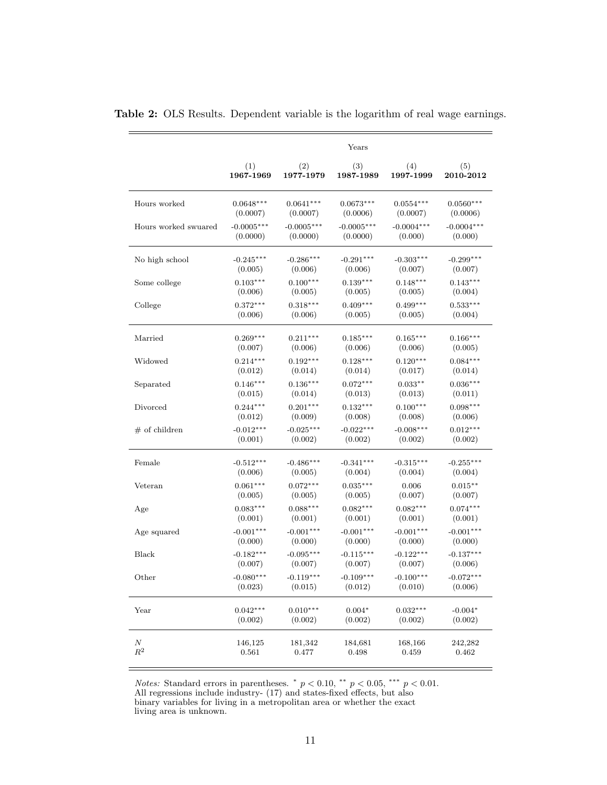|                      |                       |                                                           | Years        |                       |                       |
|----------------------|-----------------------|-----------------------------------------------------------|--------------|-----------------------|-----------------------|
|                      | (1)                   | (2)                                                       | (3)          | (4)                   | (5)                   |
|                      | 1967-1969             | 1977-1979                                                 | 1987-1989    | 1997-1999             | 2010-2012             |
| Hours worked         | $0.0648***$           | $0.0641***$                                               | $0.0673***$  | $0.0554***$           | $0.0560***$           |
|                      | (0.0007)              | (0.0007)                                                  | (0.0006)     | (0.0007)              | (0.0006)              |
| Hours worked swuared | $-0.0005***$          | $-0.0005***$                                              | $-0.0005***$ | $-0.0004***$          | $-0.0004***$          |
|                      | (0.0000)              | (0.0000)                                                  | (0.0000)     | (0.000)               | (0.000)               |
| No high school       | $-0.245***$           | $-0.286***$                                               |              | $-0.303***$           | $-0.299***$           |
|                      | (0.005)               | (0.006)                                                   |              | (0.007)               | (0.007)               |
| Some college         | $0.103***$<br>(0.006) | (0.006)<br>$0.139***$<br>$0.100***$<br>(0.005)<br>(0.005) |              | $0.148***$<br>(0.005) | $0.143***$<br>(0.004) |
| College              | $0.372***$            | $0.318***$                                                | $0.409***$   | $0.499***$            | $0.533***$            |
|                      | (0.006)               | (0.006)                                                   | (0.005)      | (0.005)               | (0.004)               |
| Married              | $0.269***$            | $0.211***$                                                | $0.185***$   | $0.165***$            | $0.166***$            |
|                      | (0.007)               | (0.006)                                                   | (0.006)      | (0.006)               | (0.005)               |
| Widowed              | $0.214***$<br>(0.012) | $0.192***$<br>$0.128***$<br>(0.014)<br>(0.014)            |              | $0.120***$<br>(0.017) | $0.084***$<br>(0.014) |
| Separated            | $0.146***$            | $0.136***$                                                | $0.072***$   | $0.033**$             | $0.036***$            |
|                      | (0.015)               | (0.014)                                                   | (0.013)      | (0.013)               | (0.011)               |
| Divorced             | $0.244***$            | $0.201***$                                                | $0.132***$   | $0.100***$            | $0.098***$            |
|                      | (0.012)               | (0.009)                                                   | (0.008)      | (0.008)               | (0.006)               |
| $#$ of children      | $-0.012***$           | $-0.025***$                                               | $-0.022***$  | $-0.008***$           | $0.012***$            |
|                      | (0.001)               | (0.002)                                                   | (0.002)      | (0.002)               | (0.002)               |
| Female               | $-0.512***$           | $-0.486***$                                               | $-0.341***$  | $-0.315***$           | $-0.255***$           |
|                      | (0.006)               | (0.005)                                                   | (0.004)      | (0.004)               | (0.004)               |
| Veteran              | $0.061***$            | $0.072***$                                                | $0.035***$   | 0.006                 | $0.015**$             |
|                      | (0.005)               | (0.005)                                                   | (0.005)      | (0.007)               | (0.007)               |
| Age                  | $0.083***$            | $0.088***$                                                | $0.082***$   | $0.082***$            | $0.074***$            |
|                      | (0.001)               | (0.001)                                                   | (0.001)      | (0.001)               | (0.001)               |
| Age squared          | $-0.001***$           | $-0.001***$                                               | $-0.001***$  | $-0.001***$           | $-0.001***$           |
|                      | (0.000)               | (0.000)                                                   | (0.000)      | (0.000)               | (0.000)               |
| Black                | $-0.182***$           | $-0.095***$                                               | $-0.115***$  | $-0.122***$           | $-0.137***$           |
|                      | (0.007)               | (0.007)                                                   | (0.007)      | (0.007)               | (0.006)               |
| Other                | $-0.080***$           | $-0.119***$                                               | $-0.109***$  | $-0.100***$           | $-0.072***$           |
|                      | (0.023)               | (0.015)                                                   | (0.012)      | (0.010)               | (0.006)               |
| Year                 | $0.042***$            | $0.010***$                                                | $0.004*$     | $0.032***$            | $-0.004*$             |
|                      | (0.002)               | (0.002)                                                   | (0.002)      | (0.002)               | (0.002)               |
| $\,N$                | 146,125               | 181,342                                                   | 184,681      | 168,166               | 242,282               |
| $\mathbb{R}^2$       | 0.561                 | 0.477                                                     | 0.498        | 0.459                 | 0.462                 |

<span id="page-13-0"></span>

|  | Table 2: OLS Results. Dependent variable is the logarithm of real wage earnings. |  |  |  |
|--|----------------------------------------------------------------------------------|--|--|--|
|  |                                                                                  |  |  |  |

*Notes:* Standard errors in parentheses.  $p < 0.10$ ,  $\rightarrow p < 0.05$ ,  $\rightarrow p < 0.01$ . All regressions include industry- (17) and states-fixed effects, but also binary variables for living in a metropolitan area or whether the exact living area is unknown.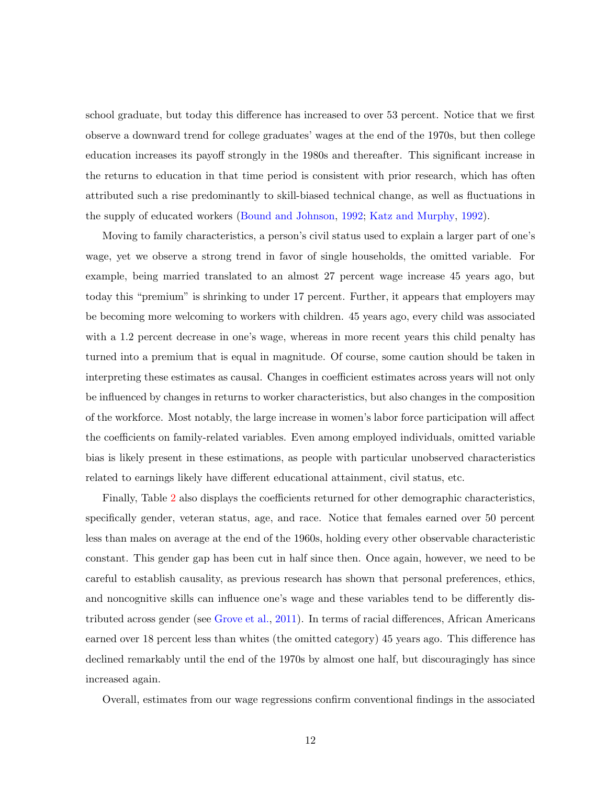school graduate, but today this difference has increased to over 53 percent. Notice that we first observe a downward trend for college graduates' wages at the end of the 1970s, but then college education increases its payoff strongly in the 1980s and thereafter. This significant increase in the returns to education in that time period is consistent with prior research, which has often attributed such a rise predominantly to skill-biased technical change, as well as fluctuations in the supply of educated workers [\(Bound and Johnson,](#page-33-9) [1992;](#page-33-9) [Katz and Murphy,](#page-34-7) [1992\)](#page-34-7).

Moving to family characteristics, a person's civil status used to explain a larger part of one's wage, yet we observe a strong trend in favor of single households, the omitted variable. For example, being married translated to an almost 27 percent wage increase 45 years ago, but today this "premium" is shrinking to under 17 percent. Further, it appears that employers may be becoming more welcoming to workers with children. 45 years ago, every child was associated with a 1.2 percent decrease in one's wage, whereas in more recent years this child penalty has turned into a premium that is equal in magnitude. Of course, some caution should be taken in interpreting these estimates as causal. Changes in coefficient estimates across years will not only be influenced by changes in returns to worker characteristics, but also changes in the composition of the workforce. Most notably, the large increase in women's labor force participation will affect the coefficients on family-related variables. Even among employed individuals, omitted variable bias is likely present in these estimations, as people with particular unobserved characteristics related to earnings likely have different educational attainment, civil status, etc.

Finally, Table [2](#page-13-0) also displays the coefficients returned for other demographic characteristics, specifically gender, veteran status, age, and race. Notice that females earned over 50 percent less than males on average at the end of the 1960s, holding every other observable characteristic constant. This gender gap has been cut in half since then. Once again, however, we need to be careful to establish causality, as previous research has shown that personal preferences, ethics, and noncognitive skills can influence one's wage and these variables tend to be differently distributed across gender (see [Grove et al.,](#page-34-9) [2011\)](#page-34-9). In terms of racial differences, African Americans earned over 18 percent less than whites (the omitted category) 45 years ago. This difference has declined remarkably until the end of the 1970s by almost one half, but discouragingly has since increased again.

Overall, estimates from our wage regressions confirm conventional findings in the associated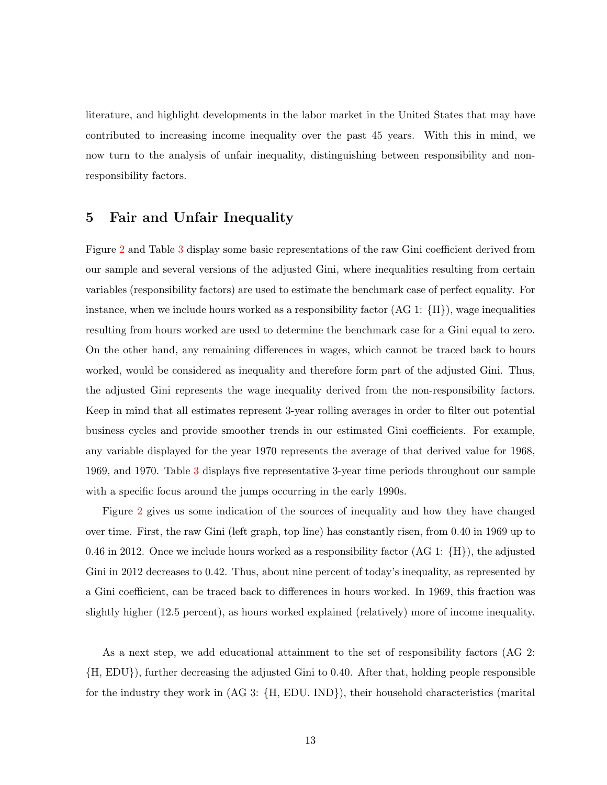literature, and highlight developments in the labor market in the United States that may have contributed to increasing income inequality over the past 45 years. With this in mind, we now turn to the analysis of unfair inequality, distinguishing between responsibility and nonresponsibility factors.

#### <span id="page-15-0"></span>5 Fair and Unfair Inequality

Figure [2](#page-16-0) and Table [3](#page-16-1) display some basic representations of the raw Gini coefficient derived from our sample and several versions of the adjusted Gini, where inequalities resulting from certain variables (responsibility factors) are used to estimate the benchmark case of perfect equality. For instance, when we include hours worked as a responsibility factor  $(AG 1: {H})$ , wage inequalities resulting from hours worked are used to determine the benchmark case for a Gini equal to zero. On the other hand, any remaining differences in wages, which cannot be traced back to hours worked, would be considered as inequality and therefore form part of the adjusted Gini. Thus, the adjusted Gini represents the wage inequality derived from the non-responsibility factors. Keep in mind that all estimates represent 3-year rolling averages in order to filter out potential business cycles and provide smoother trends in our estimated Gini coefficients. For example, any variable displayed for the year 1970 represents the average of that derived value for 1968, 1969, and 1970. Table [3](#page-16-1) displays five representative 3-year time periods throughout our sample with a specific focus around the jumps occurring in the early 1990s.

Figure [2](#page-16-0) gives us some indication of the sources of inequality and how they have changed over time. First, the raw Gini (left graph, top line) has constantly risen, from 0.40 in 1969 up to 0.46 in 2012. Once we include hours worked as a responsibility factor  $(AG 1: {H})$ , the adjusted Gini in 2012 decreases to 0.42. Thus, about nine percent of today's inequality, as represented by a Gini coefficient, can be traced back to differences in hours worked. In 1969, this fraction was slightly higher (12.5 percent), as hours worked explained (relatively) more of income inequality.

As a next step, we add educational attainment to the set of responsibility factors (AG 2: {H, EDU}), further decreasing the adjusted Gini to 0.40. After that, holding people responsible for the industry they work in (AG 3: {H, EDU. IND}), their household characteristics (marital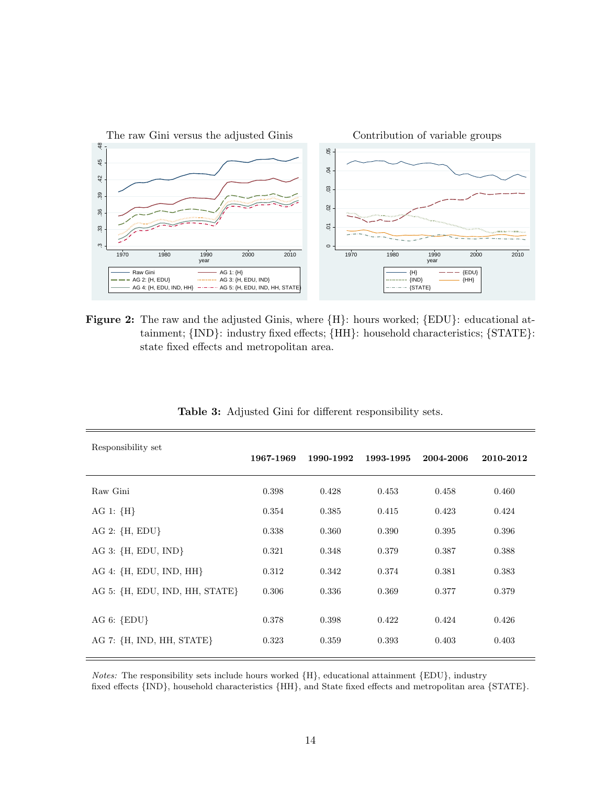<span id="page-16-0"></span>

Figure 2: The raw and the adjusted Ginis, where  ${H}$ : hours worked;  ${EDU}$ : educational attainment; {IND}: industry fixed effects; {HH}: household characteristics; {STATE}: state fixed effects and metropolitan area.

<span id="page-16-1"></span>

| Responsibility set             | 1967-1969 | 1990-1992 | 1993-1995 | 2004-2006 | 2010-2012 |
|--------------------------------|-----------|-----------|-----------|-----------|-----------|
| Raw Gini                       | 0.398     | 0.428     | 0.453     | 0.458     | 0.460     |
| AG 1: ${H}$                    | 0.354     | 0.385     | 0.415     | 0.423     | 0.424     |
| AG 2: ${H, EDU}$               | 0.338     | 0.360     | 0.390     | 0.395     | 0.396     |
| AG 3: $\{H, EDU, IND\}$        | 0.321     | 0.348     | 0.379     | 0.387     | 0.388     |
| AG 4: {H, EDU, IND, HH}        | 0.312     | 0.342     | 0.374     | 0.381     | 0.383     |
| AG 5: {H, EDU, IND, HH, STATE} | 0.306     | 0.336     | 0.369     | 0.377     | 0.379     |
|                                |           |           |           |           |           |
| AG 6: $\{EDU\}$                | 0.378     | 0.398     | 0.422     | 0.424     | 0.426     |
| AG 7: {H, IND, HH, STATE}      | 0.323     | 0.359     | 0.393     | 0.403     | 0.403     |
|                                |           |           |           |           |           |

Table 3: Adjusted Gini for different responsibility sets.

Notes: The responsibility sets include hours worked {H}, educational attainment {EDU}, industry fixed effects {IND}, household characteristics {HH}, and State fixed effects and metropolitan area {STATE}.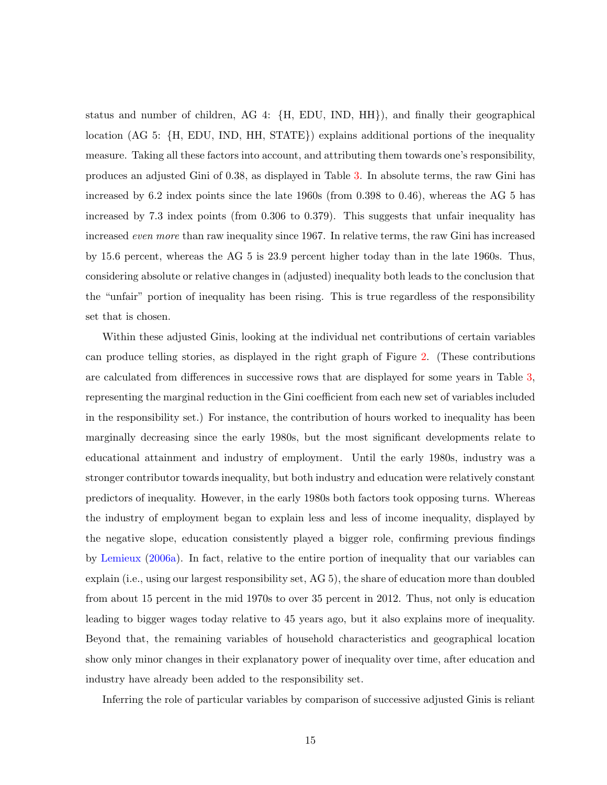status and number of children, AG 4: {H, EDU, IND, HH}), and finally their geographical location (AG 5: {H, EDU, IND, HH, STATE}) explains additional portions of the inequality measure. Taking all these factors into account, and attributing them towards one's responsibility, produces an adjusted Gini of 0.38, as displayed in Table [3.](#page-16-1) In absolute terms, the raw Gini has increased by 6.2 index points since the late 1960s (from 0.398 to 0.46), whereas the AG 5 has increased by 7.3 index points (from 0.306 to 0.379). This suggests that unfair inequality has increased even more than raw inequality since 1967. In relative terms, the raw Gini has increased by 15.6 percent, whereas the AG 5 is 23.9 percent higher today than in the late 1960s. Thus, considering absolute or relative changes in (adjusted) inequality both leads to the conclusion that the "unfair" portion of inequality has been rising. This is true regardless of the responsibility set that is chosen.

Within these adjusted Ginis, looking at the individual net contributions of certain variables can produce telling stories, as displayed in the right graph of Figure [2.](#page-16-0) (These contributions are calculated from differences in successive rows that are displayed for some years in Table [3,](#page-16-1) representing the marginal reduction in the Gini coefficient from each new set of variables included in the responsibility set.) For instance, the contribution of hours worked to inequality has been marginally decreasing since the early 1980s, but the most significant developments relate to educational attainment and industry of employment. Until the early 1980s, industry was a stronger contributor towards inequality, but both industry and education were relatively constant predictors of inequality. However, in the early 1980s both factors took opposing turns. Whereas the industry of employment began to explain less and less of income inequality, displayed by the negative slope, education consistently played a bigger role, confirming previous findings by [Lemieux](#page-34-8) [\(2006a\)](#page-34-8). In fact, relative to the entire portion of inequality that our variables can explain (i.e., using our largest responsibility set, AG 5), the share of education more than doubled from about 15 percent in the mid 1970s to over 35 percent in 2012. Thus, not only is education leading to bigger wages today relative to 45 years ago, but it also explains more of inequality. Beyond that, the remaining variables of household characteristics and geographical location show only minor changes in their explanatory power of inequality over time, after education and industry have already been added to the responsibility set.

Inferring the role of particular variables by comparison of successive adjusted Ginis is reliant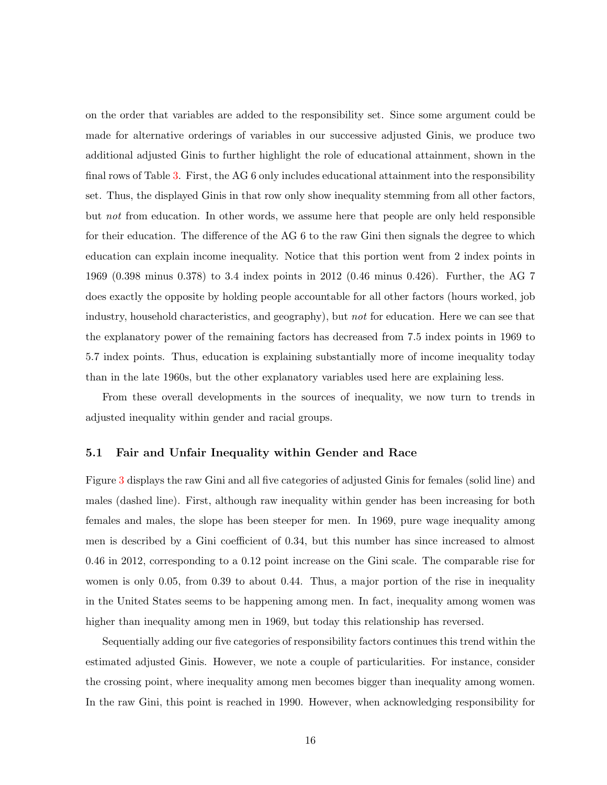on the order that variables are added to the responsibility set. Since some argument could be made for alternative orderings of variables in our successive adjusted Ginis, we produce two additional adjusted Ginis to further highlight the role of educational attainment, shown in the final rows of Table [3.](#page-16-1) First, the AG 6 only includes educational attainment into the responsibility set. Thus, the displayed Ginis in that row only show inequality stemming from all other factors, but not from education. In other words, we assume here that people are only held responsible for their education. The difference of the AG 6 to the raw Gini then signals the degree to which education can explain income inequality. Notice that this portion went from 2 index points in 1969 (0.398 minus 0.378) to 3.4 index points in 2012 (0.46 minus 0.426). Further, the AG 7 does exactly the opposite by holding people accountable for all other factors (hours worked, job industry, household characteristics, and geography), but not for education. Here we can see that the explanatory power of the remaining factors has decreased from 7.5 index points in 1969 to 5.7 index points. Thus, education is explaining substantially more of income inequality today than in the late 1960s, but the other explanatory variables used here are explaining less.

From these overall developments in the sources of inequality, we now turn to trends in adjusted inequality within gender and racial groups.

#### 5.1 Fair and Unfair Inequality within Gender and Race

Figure [3](#page-19-0) displays the raw Gini and all five categories of adjusted Ginis for females (solid line) and males (dashed line). First, although raw inequality within gender has been increasing for both females and males, the slope has been steeper for men. In 1969, pure wage inequality among men is described by a Gini coefficient of 0.34, but this number has since increased to almost 0.46 in 2012, corresponding to a 0.12 point increase on the Gini scale. The comparable rise for women is only 0.05, from 0.39 to about 0.44. Thus, a major portion of the rise in inequality in the United States seems to be happening among men. In fact, inequality among women was higher than inequality among men in 1969, but today this relationship has reversed.

Sequentially adding our five categories of responsibility factors continues this trend within the estimated adjusted Ginis. However, we note a couple of particularities. For instance, consider the crossing point, where inequality among men becomes bigger than inequality among women. In the raw Gini, this point is reached in 1990. However, when acknowledging responsibility for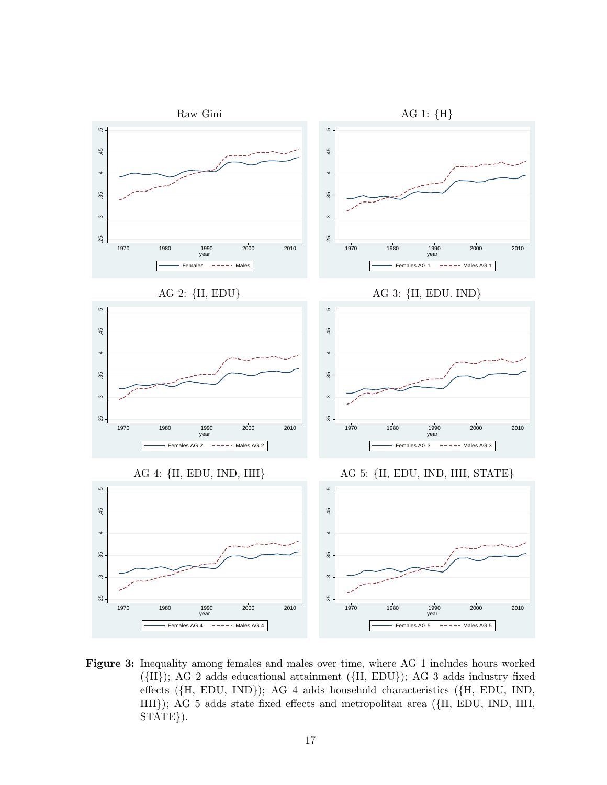<span id="page-19-0"></span>

Figure 3: Inequality among females and males over time, where AG 1 includes hours worked ({H}); AG 2 adds educational attainment ({H, EDU}); AG 3 adds industry fixed effects ({H, EDU, IND}); AG 4 adds household characteristics ({H, EDU, IND, HH}); AG 5 adds state fixed effects and metropolitan area ({H, EDU, IND, HH, STATE}).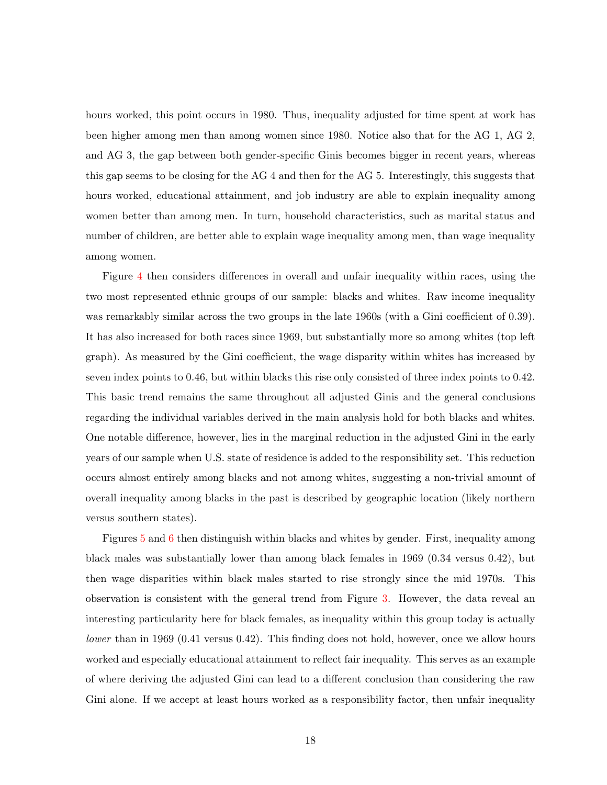hours worked, this point occurs in 1980. Thus, inequality adjusted for time spent at work has been higher among men than among women since 1980. Notice also that for the AG 1, AG 2, and AG 3, the gap between both gender-specific Ginis becomes bigger in recent years, whereas this gap seems to be closing for the AG 4 and then for the AG 5. Interestingly, this suggests that hours worked, educational attainment, and job industry are able to explain inequality among women better than among men. In turn, household characteristics, such as marital status and number of children, are better able to explain wage inequality among men, than wage inequality among women.

Figure [4](#page-21-0) then considers differences in overall and unfair inequality within races, using the two most represented ethnic groups of our sample: blacks and whites. Raw income inequality was remarkably similar across the two groups in the late 1960s (with a Gini coefficient of 0.39). It has also increased for both races since 1969, but substantially more so among whites (top left graph). As measured by the Gini coefficient, the wage disparity within whites has increased by seven index points to 0.46, but within blacks this rise only consisted of three index points to 0.42. This basic trend remains the same throughout all adjusted Ginis and the general conclusions regarding the individual variables derived in the main analysis hold for both blacks and whites. One notable difference, however, lies in the marginal reduction in the adjusted Gini in the early years of our sample when U.S. state of residence is added to the responsibility set. This reduction occurs almost entirely among blacks and not among whites, suggesting a non-trivial amount of overall inequality among blacks in the past is described by geographic location (likely northern versus southern states).

Figures [5](#page-23-0) and [6](#page-24-0) then distinguish within blacks and whites by gender. First, inequality among black males was substantially lower than among black females in 1969 (0.34 versus 0.42), but then wage disparities within black males started to rise strongly since the mid 1970s. This observation is consistent with the general trend from Figure [3.](#page-19-0) However, the data reveal an interesting particularity here for black females, as inequality within this group today is actually lower than in 1969 (0.41 versus 0.42). This finding does not hold, however, once we allow hours worked and especially educational attainment to reflect fair inequality. This serves as an example of where deriving the adjusted Gini can lead to a different conclusion than considering the raw Gini alone. If we accept at least hours worked as a responsibility factor, then unfair inequality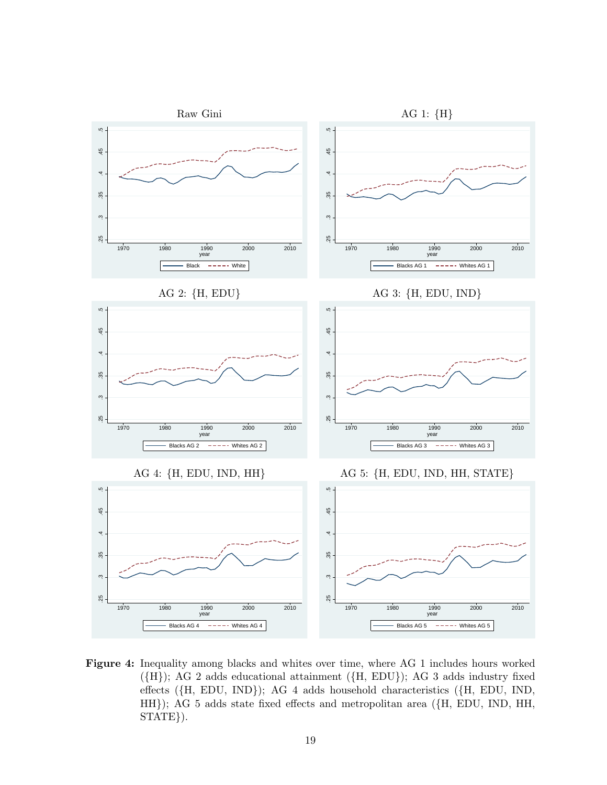<span id="page-21-0"></span>

Figure 4: Inequality among blacks and whites over time, where AG 1 includes hours worked ({H}); AG 2 adds educational attainment ({H, EDU}); AG 3 adds industry fixed effects ({H, EDU, IND}); AG 4 adds household characteristics ({H, EDU, IND, HH}); AG 5 adds state fixed effects and metropolitan area ({H, EDU, IND, HH, STATE}).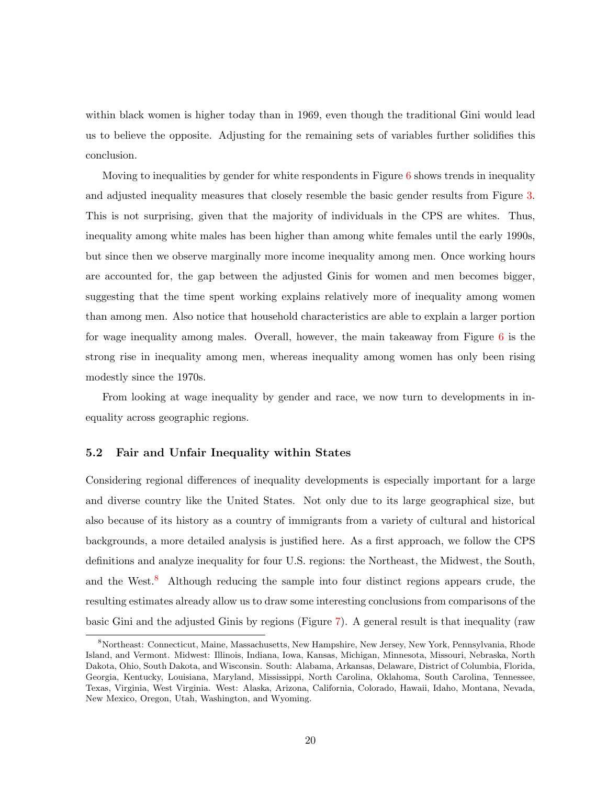within black women is higher today than in 1969, even though the traditional Gini would lead us to believe the opposite. Adjusting for the remaining sets of variables further solidifies this conclusion.

Moving to inequalities by gender for white respondents in Figure  $6$  shows trends in inequality and adjusted inequality measures that closely resemble the basic gender results from Figure [3.](#page-19-0) This is not surprising, given that the majority of individuals in the CPS are whites. Thus, inequality among white males has been higher than among white females until the early 1990s, but since then we observe marginally more income inequality among men. Once working hours are accounted for, the gap between the adjusted Ginis for women and men becomes bigger, suggesting that the time spent working explains relatively more of inequality among women than among men. Also notice that household characteristics are able to explain a larger portion for wage inequality among males. Overall, however, the main takeaway from Figure [6](#page-24-0) is the strong rise in inequality among men, whereas inequality among women has only been rising modestly since the 1970s.

From looking at wage inequality by gender and race, we now turn to developments in inequality across geographic regions.

#### 5.2 Fair and Unfair Inequality within States

Considering regional differences of inequality developments is especially important for a large and diverse country like the United States. Not only due to its large geographical size, but also because of its history as a country of immigrants from a variety of cultural and historical backgrounds, a more detailed analysis is justified here. As a first approach, we follow the CPS definitions and analyze inequality for four U.S. regions: the Northeast, the Midwest, the South, and the West.<sup>[8](#page-22-0)</sup> Although reducing the sample into four distinct regions appears crude, the resulting estimates already allow us to draw some interesting conclusions from comparisons of the basic Gini and the adjusted Ginis by regions (Figure [7\)](#page-25-0). A general result is that inequality (raw

<span id="page-22-0"></span><sup>8</sup>Northeast: Connecticut, Maine, Massachusetts, New Hampshire, New Jersey, New York, Pennsylvania, Rhode Island, and Vermont. Midwest: Illinois, Indiana, Iowa, Kansas, Michigan, Minnesota, Missouri, Nebraska, North Dakota, Ohio, South Dakota, and Wisconsin. South: Alabama, Arkansas, Delaware, District of Columbia, Florida, Georgia, Kentucky, Louisiana, Maryland, Mississippi, North Carolina, Oklahoma, South Carolina, Tennessee, Texas, Virginia, West Virginia. West: Alaska, Arizona, California, Colorado, Hawaii, Idaho, Montana, Nevada, New Mexico, Oregon, Utah, Washington, and Wyoming.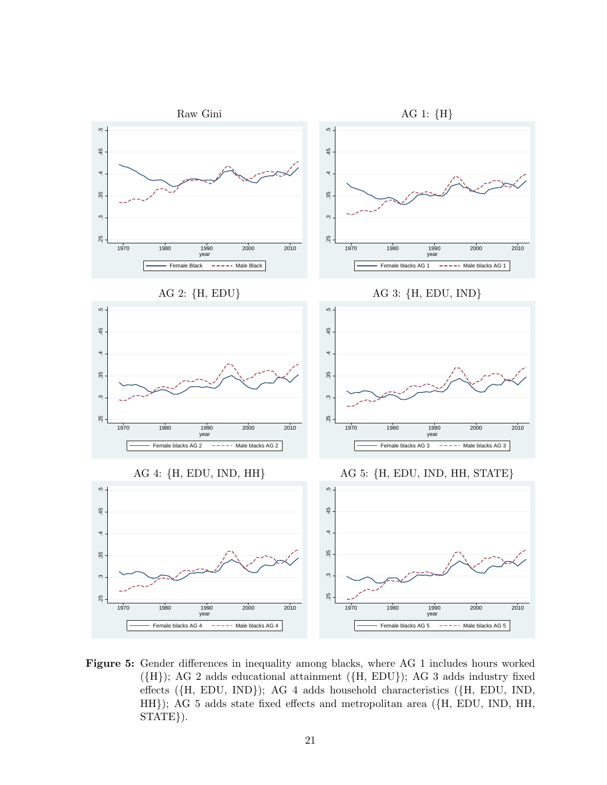<span id="page-23-0"></span>

Figure 5: Gender differences in inequality among blacks, where AG 1 includes hours worked ({H}); AG 2 adds educational attainment ({H, EDU}); AG 3 adds industry fixed effects ({H, EDU, IND}); AG 4 adds household characteristics ({H, EDU, IND, HH}); AG 5 adds state fixed effects and metropolitan area ({H, EDU, IND, HH, STATE}).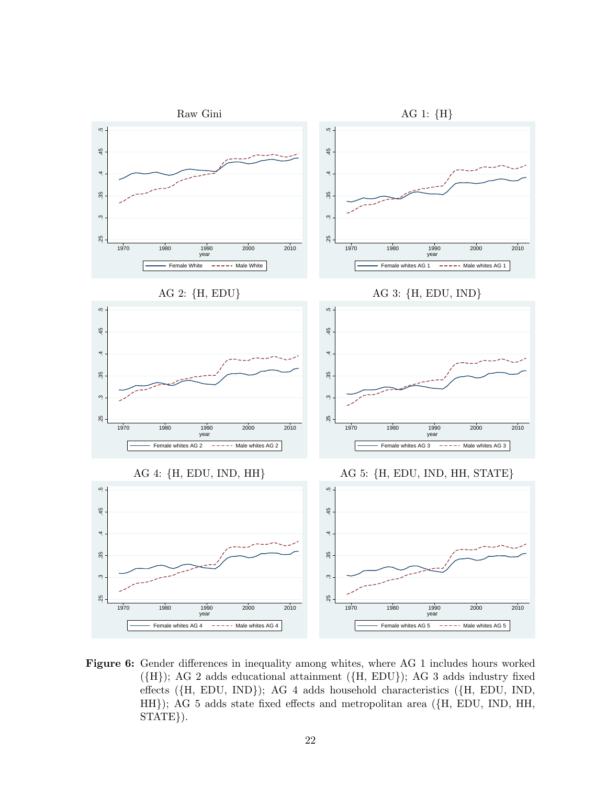<span id="page-24-0"></span>

Figure 6: Gender differences in inequality among whites, where AG 1 includes hours worked ({H}); AG 2 adds educational attainment ({H, EDU}); AG 3 adds industry fixed effects ({H, EDU, IND}); AG 4 adds household characteristics ({H, EDU, IND, HH}); AG 5 adds state fixed effects and metropolitan area ({H, EDU, IND, HH, STATE}).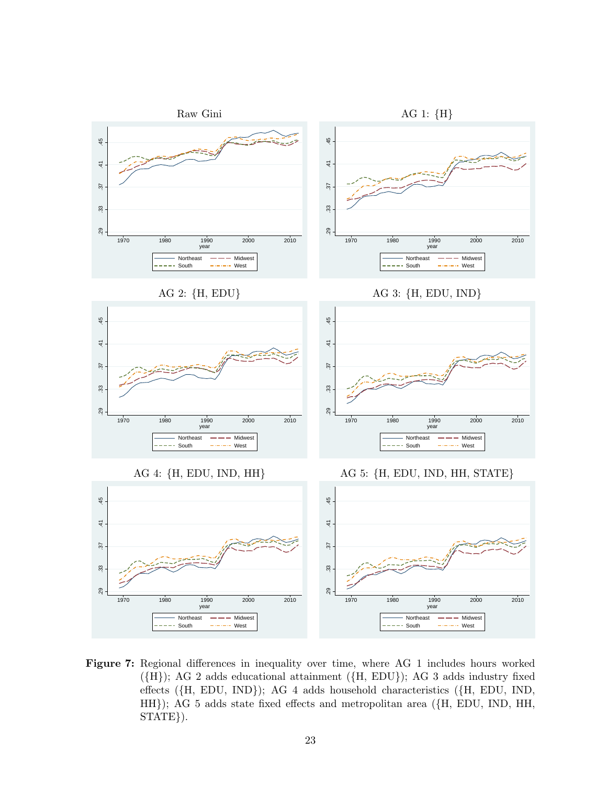<span id="page-25-0"></span>

Figure 7: Regional differences in inequality over time, where AG 1 includes hours worked ({H}); AG 2 adds educational attainment ({H, EDU}); AG 3 adds industry fixed effects ({H, EDU, IND}); AG 4 adds household characteristics ({H, EDU, IND, HH}); AG 5 adds state fixed effects and metropolitan area ({H, EDU, IND, HH, STATE}).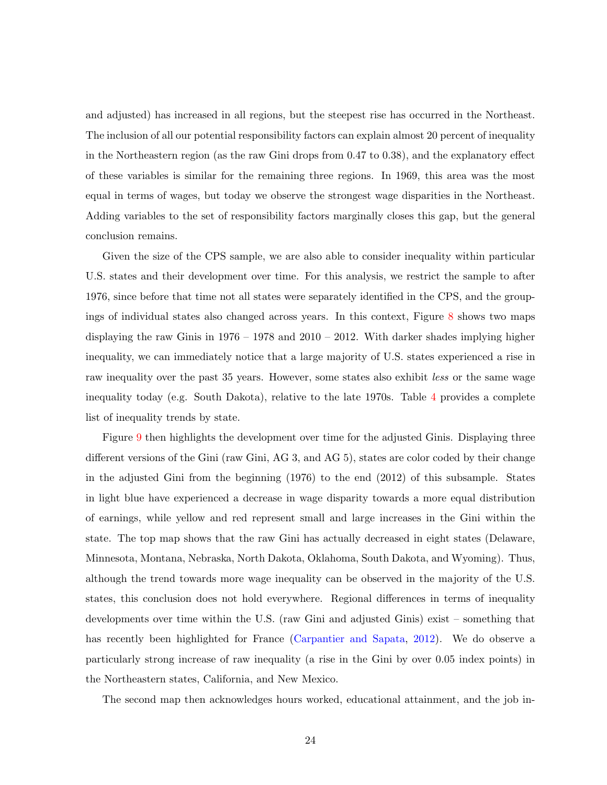and adjusted) has increased in all regions, but the steepest rise has occurred in the Northeast. The inclusion of all our potential responsibility factors can explain almost 20 percent of inequality in the Northeastern region (as the raw Gini drops from 0.47 to 0.38), and the explanatory effect of these variables is similar for the remaining three regions. In 1969, this area was the most equal in terms of wages, but today we observe the strongest wage disparities in the Northeast. Adding variables to the set of responsibility factors marginally closes this gap, but the general conclusion remains.

Given the size of the CPS sample, we are also able to consider inequality within particular U.S. states and their development over time. For this analysis, we restrict the sample to after 1976, since before that time not all states were separately identified in the CPS, and the groupings of individual states also changed across years. In this context, Figure [8](#page-27-0) shows two maps displaying the raw Ginis in 1976 – 1978 and 2010 – 2012. With darker shades implying higher inequality, we can immediately notice that a large majority of U.S. states experienced a rise in raw inequality over the past 35 years. However, some states also exhibit less or the same wage inequality today (e.g. South Dakota), relative to the late 1970s. Table [4](#page-28-0) provides a complete list of inequality trends by state.

Figure [9](#page-30-0) then highlights the development over time for the adjusted Ginis. Displaying three different versions of the Gini (raw Gini, AG 3, and AG 5), states are color coded by their change in the adjusted Gini from the beginning (1976) to the end (2012) of this subsample. States in light blue have experienced a decrease in wage disparity towards a more equal distribution of earnings, while yellow and red represent small and large increases in the Gini within the state. The top map shows that the raw Gini has actually decreased in eight states (Delaware, Minnesota, Montana, Nebraska, North Dakota, Oklahoma, South Dakota, and Wyoming). Thus, although the trend towards more wage inequality can be observed in the majority of the U.S. states, this conclusion does not hold everywhere. Regional differences in terms of inequality developments over time within the U.S. (raw Gini and adjusted Ginis) exist – something that has recently been highlighted for France [\(Carpantier and Sapata,](#page-33-10) [2012\)](#page-33-10). We do observe a particularly strong increase of raw inequality (a rise in the Gini by over 0.05 index points) in the Northeastern states, California, and New Mexico.

The second map then acknowledges hours worked, educational attainment, and the job in-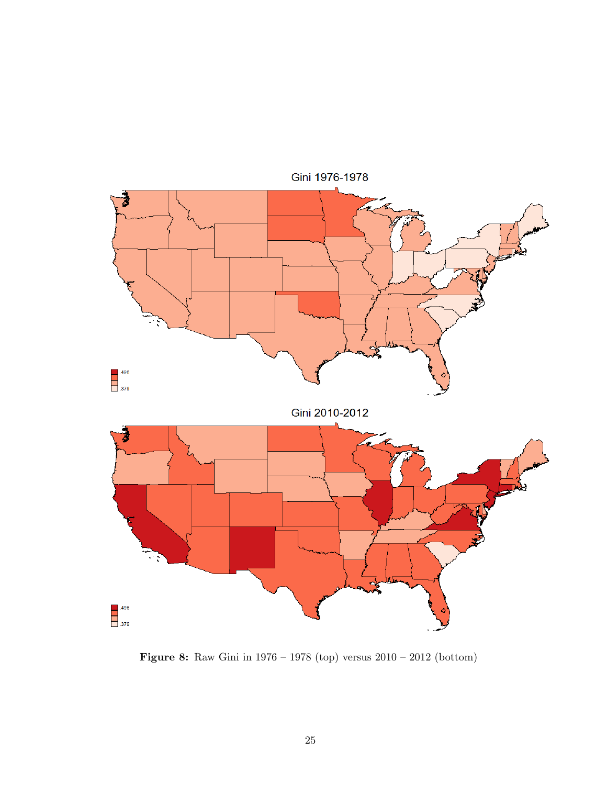<span id="page-27-0"></span>

Figure 8: Raw Gini in 1976 – 1978 (top) versus 2010 – 2012 (bottom)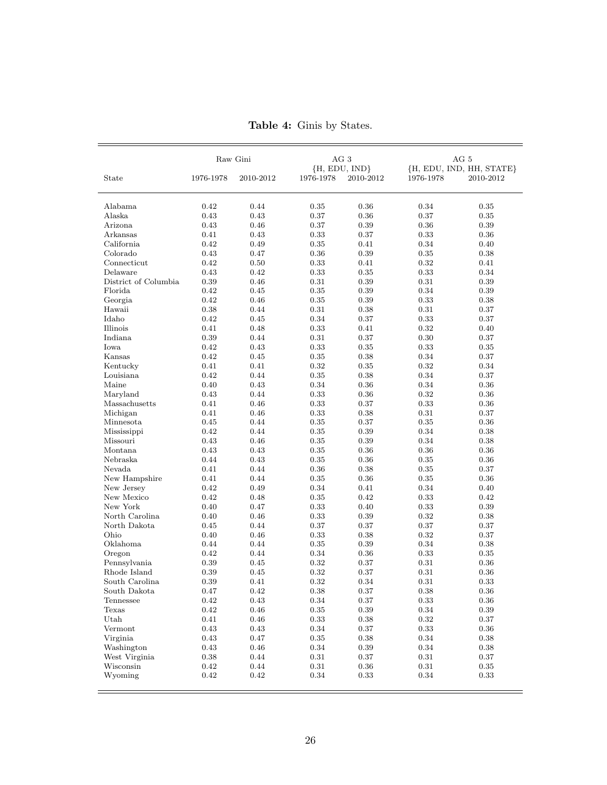<span id="page-28-0"></span>

|                             | Raw Gini     |              | AG <sub>3</sub> |                    | AG 5                     |              |  |
|-----------------------------|--------------|--------------|-----------------|--------------------|--------------------------|--------------|--|
|                             |              |              | ${H, EDU, IND}$ |                    | {H, EDU, IND, HH, STATE} |              |  |
| State                       | 1976-1978    | 2010-2012    | 1976-1978       | 2010-2012          | 1976-1978                | 2010-2012    |  |
| Alabama                     | 0.42         | 0.44         | 0.35            | 0.36               | 0.34                     | 0.35         |  |
| Alaska                      | 0.43         | 0.43         | 0.37            | 0.36               | 0.37                     | $\rm 0.35$   |  |
| Arizona                     | 0.43         | 0.46         | 0.37            | 0.39               | 0.36                     | 0.39         |  |
| Arkansas                    | 0.41         | 0.43         | 0.33            | 0.37               | 0.33                     | 0.36         |  |
| California                  | 0.42         | 0.49         | 0.35            | 0.41               | 0.34                     | 0.40         |  |
| Colorado                    | 0.43         | 0.47         | 0.36            | 0.39               | 0.35                     | 0.38         |  |
| Connecticut                 | 0.42         | 0.50         | 0.33            | 0.41               | 0.32                     | 0.41         |  |
| Delaware                    | 0.43         | 0.42         | 0.33            | 0.35               | 0.33                     | 0.34         |  |
| District of Columbia        | $\rm 0.39$   | 0.46         | 0.31            | $\rm 0.39$         | 0.31                     | 0.39         |  |
| Florida                     | 0.42         | 0.45         | 0.35            | 0.39               | 0.34                     | 0.39         |  |
| Georgia                     | 0.42         | 0.46         | 0.35            | 0.39               | 0.33                     | 0.38         |  |
| Hawaii                      | 0.38         | 0.44         | 0.31            | 0.38               | 0.31                     | 0.37         |  |
| Idaho                       | 0.42         | 0.45         | 0.34            | 0.37               | 0.33                     | 0.37         |  |
| Illinois                    | 0.41         | 0.48         | 0.33            | 0.41               | 0.32                     | 0.40         |  |
| Indiana                     | 0.39         | 0.44         | 0.31            | 0.37               | 0.30                     | 0.37         |  |
| Iowa                        | 0.42         | 0.43         | 0.33            | $\rm 0.35$         | 0.33                     | $\rm 0.35$   |  |
| Kansas                      | 0.42         | 0.45         | 0.35            | 0.38               | 0.34                     | 0.37         |  |
| Kentucky                    | 0.41         | 0.41         | 0.32            | $\rm 0.35$         | 0.32                     | 0.34         |  |
| Louisiana                   | 0.42         | 0.44         | $\rm 0.35$      | 0.38               | 0.34                     | 0.37         |  |
| Maine                       | 0.40         | 0.43         | 0.34            | 0.36               | 0.34                     | 0.36         |  |
|                             | 0.43         | 0.44         |                 | $\rm 0.36$         | 0.32                     | 0.36         |  |
| Maryland<br>Massachusetts   | 0.41         | 0.46         | 0.33<br>0.33    | 0.37               | 0.33                     | 0.36         |  |
| Michigan                    | 0.41         | 0.46         | 0.33            | 0.38               | 0.31                     | 0.37         |  |
| Minnesota                   | 0.45         | 0.44         | 0.35            | 0.37               | $0.35\,$                 | 0.36         |  |
|                             |              | 0.44         |                 |                    |                          |              |  |
| Mississippi                 | 0.42         |              | 0.35            | 0.39               | 0.34                     | 0.38         |  |
| Missouri<br>Montana         | 0.43         | 0.46<br>0.43 | 0.35            | 0.39               | 0.34<br>0.36             | 0.38         |  |
| Nebraska                    | 0.43<br>0.44 | 0.43         | 0.35<br>0.35    | 0.36<br>$\rm 0.36$ | 0.35                     | 0.36<br>0.36 |  |
| Nevada                      | 0.41         | 0.44         | 0.36            | 0.38               | $\rm 0.35$               | 0.37         |  |
|                             |              | 0.44         |                 | $\rm 0.36$         |                          |              |  |
| New Hampshire<br>New Jersey | 0.41<br>0.42 | 0.49         | 0.35<br>0.34    | 0.41               | 0.35<br>0.34             | 0.36<br>0.40 |  |
| New Mexico                  | 0.42         | 0.48         | 0.35            | 0.42               | 0.33                     | 0.42         |  |
| New York                    | 0.40         | 0.47         | 0.33            | 0.40               | 0.33                     | 0.39         |  |
| North Carolina              | 0.40         | 0.46         | 0.33            | 0.39               | 0.32                     | 0.38         |  |
| North Dakota                | 0.45         | 0.44         | 0.37            | 0.37               | 0.37                     | 0.37         |  |
| Ohio                        | 0.40         | 0.46         | 0.33            | 0.38               | 0.32                     | 0.37         |  |
| Oklahoma                    | 0.44         | 0.44         | 0.35            | 0.39               | 0.34                     | 0.38         |  |
| Oregon                      | 0.42         | 0.44         | 0.34            | 0.36               | 0.33                     | 0.35         |  |
| Pennsylvania                | 0.39         | 0.45         | 0.32            | 0.37               | 0.31                     | 0.36         |  |
| Rhode Island                | 0.39         | 0.45         | 0.32            | 0.37               | 0.31                     | 0.36         |  |
| South Carolina              | 0.39         | 0.41         | 0.32            | 0.34               | 0.31                     | 0.33         |  |
| South Dakota                | 0.47         | $\rm 0.42$   | $\rm 0.38$      | 0.37               | 0.38                     | $\rm 0.36$   |  |
| Tennessee                   | 0.42         | 0.43         | 0.34            | 0.37               | 0.33                     | 0.36         |  |
| Texas                       | 0.42         | 0.46         | $\rm 0.35$      | $\rm 0.39$         | 0.34                     | $\rm 0.39$   |  |
| Utah                        | $0.41\,$     | 0.46         | $\rm 0.33$      | $\rm 0.38$         | 0.32                     | 0.37         |  |
| Vermont                     | 0.43         | 0.43         | 0.34            | $0.37\,$           | 0.33                     | 0.36         |  |
| Virginia                    | 0.43         | 0.47         | 0.35            | 0.38               | 0.34                     | 0.38         |  |
| Washington                  | 0.43         | 0.46         | 0.34            | 0.39               | 0.34                     | 0.38         |  |
| West Virginia               | 0.38         | 0.44         | 0.31            | 0.37               | 0.31                     | 0.37         |  |
| Wisconsin                   | $\rm 0.42$   | 0.44         | 0.31            | $0.36\,$           | $0.31\,$                 | 0.35         |  |
| Wyoming                     | 0.42         |              |                 |                    | 0.34                     |              |  |
|                             |              | $0.42\,$     | 0.34            | 0.33               |                          | $\rm 0.33$   |  |

Table 4: Ginis by States.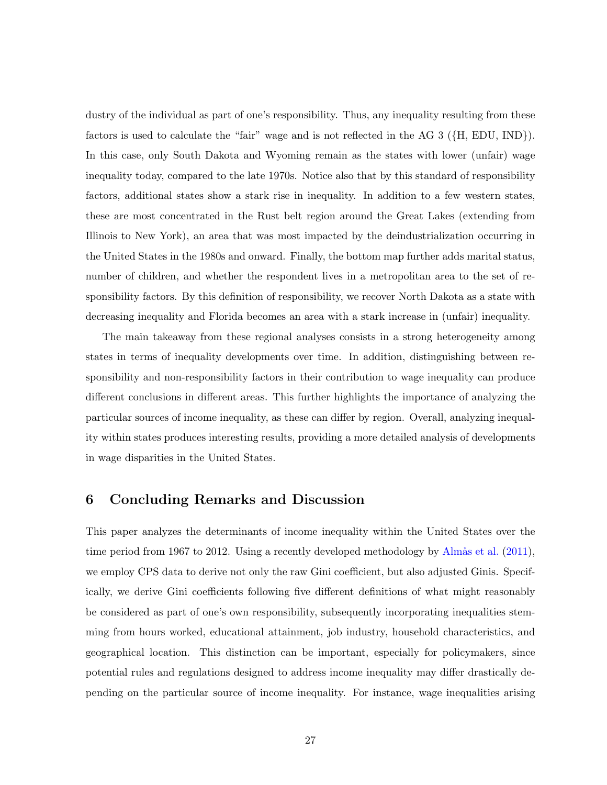dustry of the individual as part of one's responsibility. Thus, any inequality resulting from these factors is used to calculate the "fair" wage and is not reflected in the AG 3 ({H, EDU, IND}). In this case, only South Dakota and Wyoming remain as the states with lower (unfair) wage inequality today, compared to the late 1970s. Notice also that by this standard of responsibility factors, additional states show a stark rise in inequality. In addition to a few western states, these are most concentrated in the Rust belt region around the Great Lakes (extending from Illinois to New York), an area that was most impacted by the deindustrialization occurring in the United States in the 1980s and onward. Finally, the bottom map further adds marital status, number of children, and whether the respondent lives in a metropolitan area to the set of responsibility factors. By this definition of responsibility, we recover North Dakota as a state with decreasing inequality and Florida becomes an area with a stark increase in (unfair) inequality.

The main takeaway from these regional analyses consists in a strong heterogeneity among states in terms of inequality developments over time. In addition, distinguishing between responsibility and non-responsibility factors in their contribution to wage inequality can produce different conclusions in different areas. This further highlights the importance of analyzing the particular sources of income inequality, as these can differ by region. Overall, analyzing inequality within states produces interesting results, providing a more detailed analysis of developments in wage disparities in the United States.

#### <span id="page-29-0"></span>6 Concluding Remarks and Discussion

This paper analyzes the determinants of income inequality within the United States over the time period from 1967 to 2012. Using a recently developed methodology by Alm $\hat{a}$ s et al. [\(2011\)](#page-33-4), we employ CPS data to derive not only the raw Gini coefficient, but also adjusted Ginis. Specifically, we derive Gini coefficients following five different definitions of what might reasonably be considered as part of one's own responsibility, subsequently incorporating inequalities stemming from hours worked, educational attainment, job industry, household characteristics, and geographical location. This distinction can be important, especially for policymakers, since potential rules and regulations designed to address income inequality may differ drastically depending on the particular source of income inequality. For instance, wage inequalities arising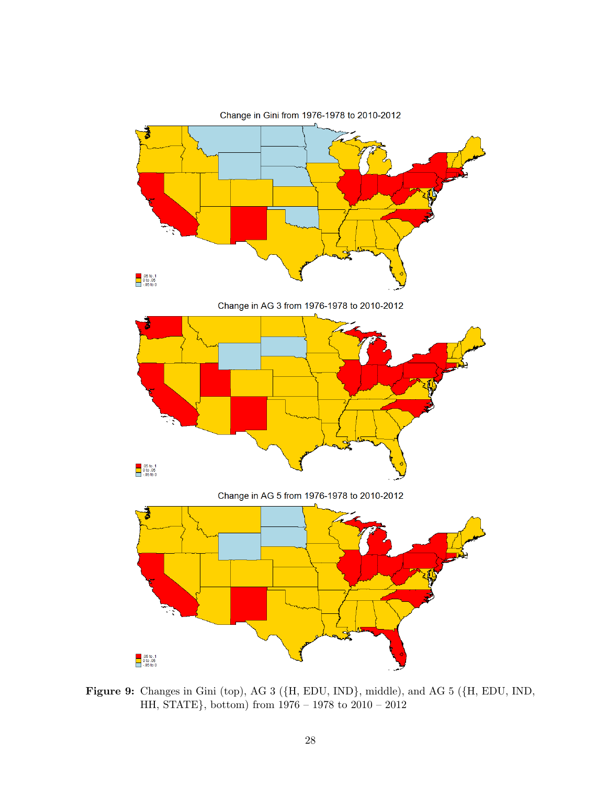<span id="page-30-0"></span>

Figure 9: Changes in Gini (top), AG 3 ({H, EDU, IND}, middle), and AG 5 ({H, EDU, IND, HH, STATE}, bottom) from 1976 – 1978 to 2010 – 2012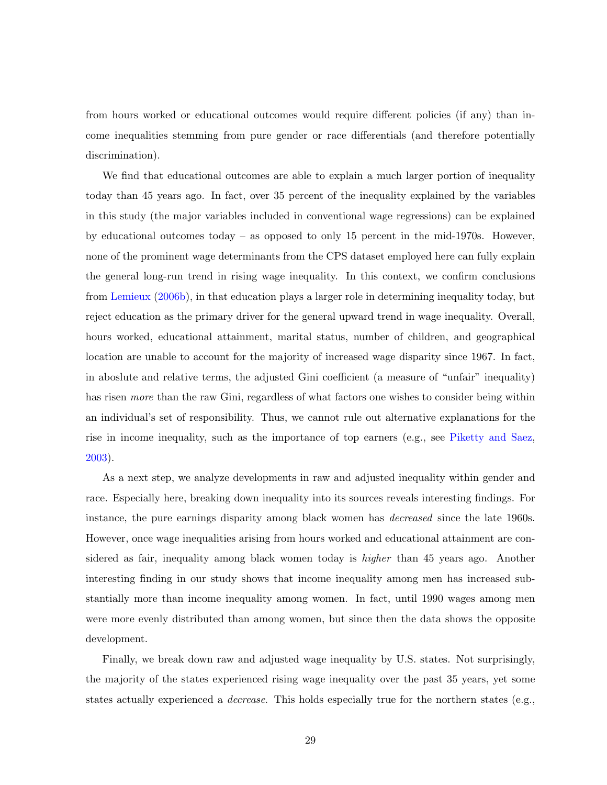from hours worked or educational outcomes would require different policies (if any) than income inequalities stemming from pure gender or race differentials (and therefore potentially discrimination).

We find that educational outcomes are able to explain a much larger portion of inequality today than 45 years ago. In fact, over 35 percent of the inequality explained by the variables in this study (the major variables included in conventional wage regressions) can be explained by educational outcomes today – as opposed to only 15 percent in the mid-1970s. However, none of the prominent wage determinants from the CPS dataset employed here can fully explain the general long-run trend in rising wage inequality. In this context, we confirm conclusions from [Lemieux](#page-34-10) [\(2006b\)](#page-34-10), in that education plays a larger role in determining inequality today, but reject education as the primary driver for the general upward trend in wage inequality. Overall, hours worked, educational attainment, marital status, number of children, and geographical location are unable to account for the majority of increased wage disparity since 1967. In fact, in aboslute and relative terms, the adjusted Gini coefficient (a measure of "unfair" inequality) has risen *more* than the raw Gini, regardless of what factors one wishes to consider being within an individual's set of responsibility. Thus, we cannot rule out alternative explanations for the rise in income inequality, such as the importance of top earners (e.g., see [Piketty and Saez,](#page-35-2) [2003\)](#page-35-2).

As a next step, we analyze developments in raw and adjusted inequality within gender and race. Especially here, breaking down inequality into its sources reveals interesting findings. For instance, the pure earnings disparity among black women has decreased since the late 1960s. However, once wage inequalities arising from hours worked and educational attainment are considered as fair, inequality among black women today is *higher* than 45 years ago. Another interesting finding in our study shows that income inequality among men has increased substantially more than income inequality among women. In fact, until 1990 wages among men were more evenly distributed than among women, but since then the data shows the opposite development.

Finally, we break down raw and adjusted wage inequality by U.S. states. Not surprisingly, the majority of the states experienced rising wage inequality over the past 35 years, yet some states actually experienced a decrease. This holds especially true for the northern states (e.g.,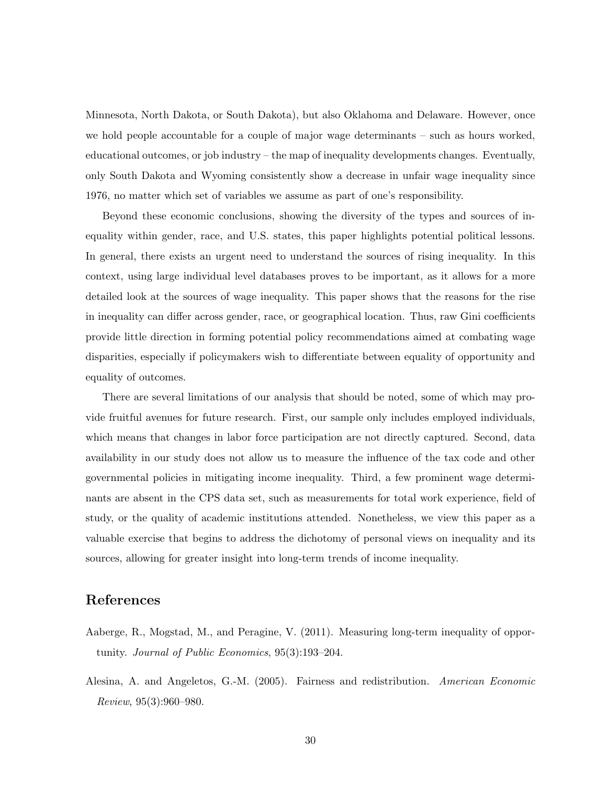Minnesota, North Dakota, or South Dakota), but also Oklahoma and Delaware. However, once we hold people accountable for a couple of major wage determinants – such as hours worked, educational outcomes, or job industry – the map of inequality developments changes. Eventually, only South Dakota and Wyoming consistently show a decrease in unfair wage inequality since 1976, no matter which set of variables we assume as part of one's responsibility.

Beyond these economic conclusions, showing the diversity of the types and sources of inequality within gender, race, and U.S. states, this paper highlights potential political lessons. In general, there exists an urgent need to understand the sources of rising inequality. In this context, using large individual level databases proves to be important, as it allows for a more detailed look at the sources of wage inequality. This paper shows that the reasons for the rise in inequality can differ across gender, race, or geographical location. Thus, raw Gini coefficients provide little direction in forming potential policy recommendations aimed at combating wage disparities, especially if policymakers wish to differentiate between equality of opportunity and equality of outcomes.

There are several limitations of our analysis that should be noted, some of which may provide fruitful avenues for future research. First, our sample only includes employed individuals, which means that changes in labor force participation are not directly captured. Second, data availability in our study does not allow us to measure the influence of the tax code and other governmental policies in mitigating income inequality. Third, a few prominent wage determinants are absent in the CPS data set, such as measurements for total work experience, field of study, or the quality of academic institutions attended. Nonetheless, we view this paper as a valuable exercise that begins to address the dichotomy of personal views on inequality and its sources, allowing for greater insight into long-term trends of income inequality.

#### References

- <span id="page-32-1"></span>Aaberge, R., Mogstad, M., and Peragine, V. (2011). Measuring long-term inequality of opportunity. Journal of Public Economics, 95(3):193–204.
- <span id="page-32-0"></span>Alesina, A. and Angeletos, G.-M. (2005). Fairness and redistribution. American Economic Review, 95(3):960–980.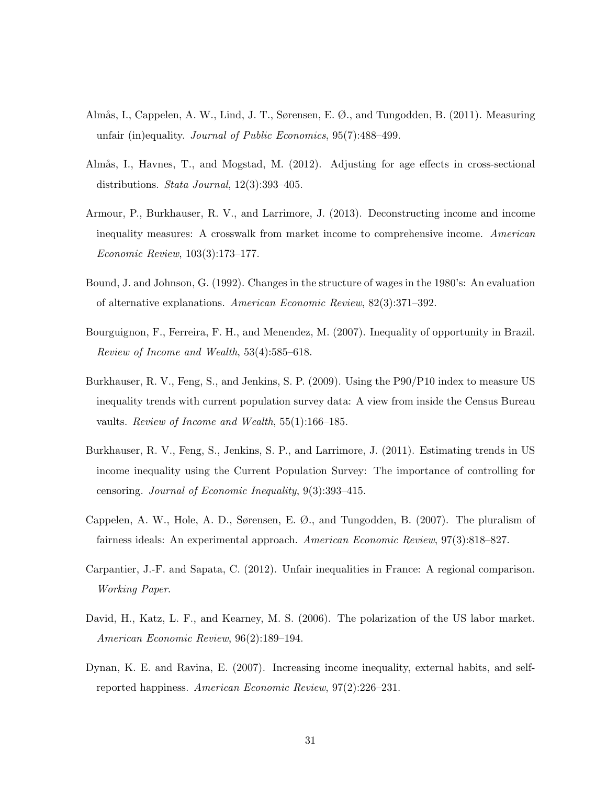- <span id="page-33-4"></span>Almås, I., Cappelen, A. W., Lind, J. T., Sørensen, E. Ø., and Tungodden, B. (2011). Measuring unfair (in)equality. Journal of Public Economics, 95(7):488–499.
- <span id="page-33-8"></span>Almås, I., Havnes, T., and Mogstad, M. (2012). Adjusting for age effects in cross-sectional distributions. Stata Journal, 12(3):393–405.
- <span id="page-33-6"></span>Armour, P., Burkhauser, R. V., and Larrimore, J. (2013). Deconstructing income and income inequality measures: A crosswalk from market income to comprehensive income. American Economic Review, 103(3):173–177.
- <span id="page-33-9"></span>Bound, J. and Johnson, G. (1992). Changes in the structure of wages in the 1980's: An evaluation of alternative explanations. American Economic Review, 82(3):371–392.
- <span id="page-33-3"></span>Bourguignon, F., Ferreira, F. H., and Menendez, M. (2007). Inequality of opportunity in Brazil. Review of Income and Wealth, 53(4):585–618.
- <span id="page-33-7"></span>Burkhauser, R. V., Feng, S., and Jenkins, S. P. (2009). Using the P90/P10 index to measure US inequality trends with current population survey data: A view from inside the Census Bureau vaults. Review of Income and Wealth, 55(1):166–185.
- <span id="page-33-5"></span>Burkhauser, R. V., Feng, S., Jenkins, S. P., and Larrimore, J. (2011). Estimating trends in US income inequality using the Current Population Survey: The importance of controlling for censoring. Journal of Economic Inequality, 9(3):393–415.
- <span id="page-33-0"></span>Cappelen, A. W., Hole, A. D., Sørensen, E. Ø., and Tungodden, B. (2007). The pluralism of fairness ideals: An experimental approach. American Economic Review, 97(3):818–827.
- <span id="page-33-10"></span>Carpantier, J.-F. and Sapata, C. (2012). Unfair inequalities in France: A regional comparison. Working Paper.
- <span id="page-33-1"></span>David, H., Katz, L. F., and Kearney, M. S. (2006). The polarization of the US labor market. American Economic Review, 96(2):189–194.
- <span id="page-33-2"></span>Dynan, K. E. and Ravina, E. (2007). Increasing income inequality, external habits, and selfreported happiness. American Economic Review, 97(2):226–231.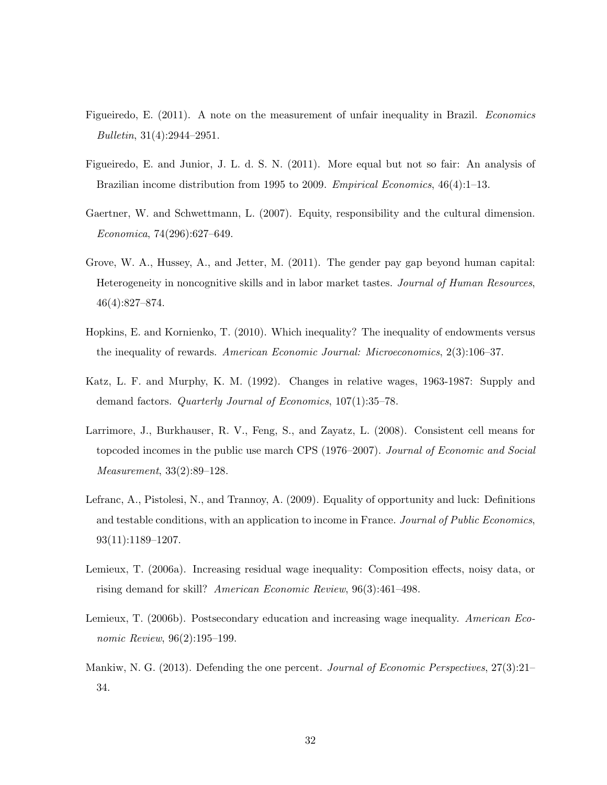- <span id="page-34-3"></span>Figueiredo, E. (2011). A note on the measurement of unfair inequality in Brazil. Economics Bulletin, 31(4):2944–2951.
- <span id="page-34-4"></span>Figueiredo, E. and Junior, J. L. d. S. N. (2011). More equal but not so fair: An analysis of Brazilian income distribution from 1995 to 2009. *Empirical Economics*, 46(4):1–13.
- <span id="page-34-1"></span>Gaertner, W. and Schwettmann, L. (2007). Equity, responsibility and the cultural dimension. Economica, 74(296):627–649.
- <span id="page-34-9"></span>Grove, W. A., Hussey, A., and Jetter, M. (2011). The gender pay gap beyond human capital: Heterogeneity in noncognitive skills and in labor market tastes. Journal of Human Resources, 46(4):827–874.
- <span id="page-34-5"></span>Hopkins, E. and Kornienko, T. (2010). Which inequality? The inequality of endowments versus the inequality of rewards. American Economic Journal: Microeconomics, 2(3):106–37.
- <span id="page-34-7"></span>Katz, L. F. and Murphy, K. M. (1992). Changes in relative wages, 1963-1987: Supply and demand factors. Quarterly Journal of Economics, 107(1):35–78.
- <span id="page-34-6"></span>Larrimore, J., Burkhauser, R. V., Feng, S., and Zayatz, L. (2008). Consistent cell means for topcoded incomes in the public use march CPS (1976–2007). Journal of Economic and Social Measurement, 33(2):89–128.
- <span id="page-34-2"></span>Lefranc, A., Pistolesi, N., and Trannoy, A. (2009). Equality of opportunity and luck: Definitions and testable conditions, with an application to income in France. Journal of Public Economics, 93(11):1189–1207.
- <span id="page-34-8"></span>Lemieux, T. (2006a). Increasing residual wage inequality: Composition effects, noisy data, or rising demand for skill? American Economic Review, 96(3):461–498.
- <span id="page-34-10"></span>Lemieux, T. (2006b). Postsecondary education and increasing wage inequality. American Economic Review, 96(2):195–199.
- <span id="page-34-0"></span>Mankiw, N. G. (2013). Defending the one percent. *Journal of Economic Perspectives*,  $27(3):21-$ 34.